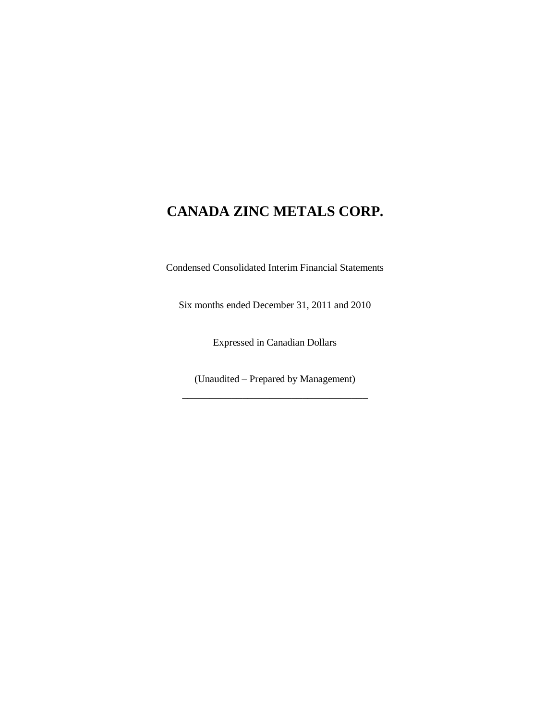Condensed Consolidated Interim Financial Statements

Six months ended December 31, 2011 and 2010

Expressed in Canadian Dollars

(Unaudited – Prepared by Management) \_\_\_\_\_\_\_\_\_\_\_\_\_\_\_\_\_\_\_\_\_\_\_\_\_\_\_\_\_\_\_\_\_\_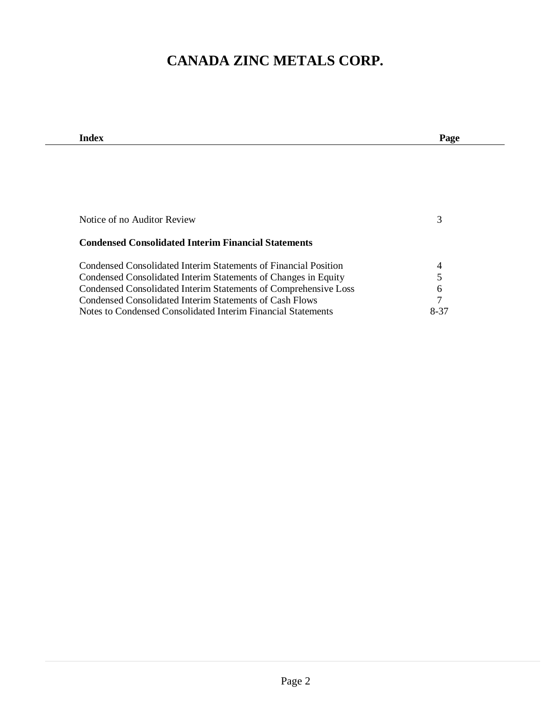| Index                                                           | Page |
|-----------------------------------------------------------------|------|
|                                                                 |      |
|                                                                 |      |
|                                                                 |      |
|                                                                 |      |
|                                                                 |      |
| Notice of no Auditor Review                                     | 3    |
|                                                                 |      |
| <b>Condensed Consolidated Interim Financial Statements</b>      |      |
|                                                                 |      |
| Condensed Consolidated Interim Statements of Financial Position | 4    |
| Condensed Consolidated Interim Statements of Changes in Equity  | 5    |
| Condensed Consolidated Interim Statements of Comprehensive Loss | 6    |
| Condensed Consolidated Interim Statements of Cash Flows         | 7    |
| Notes to Condensed Consolidated Interim Financial Statements    | 8-37 |
|                                                                 |      |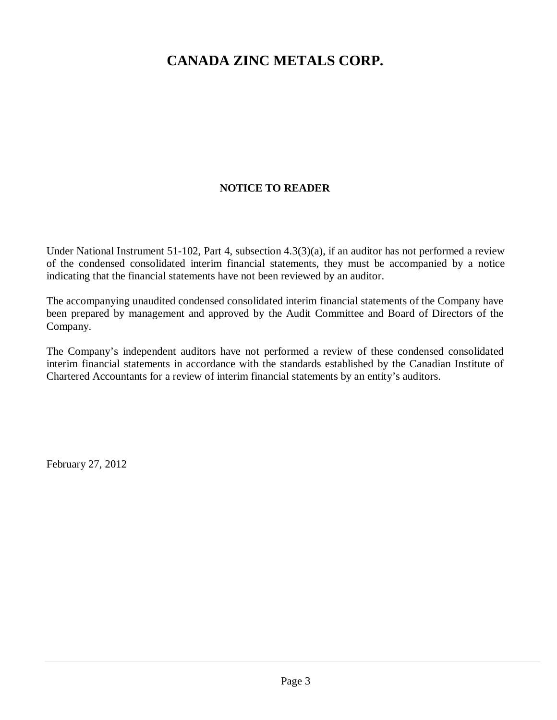## **NOTICE TO READER**

Under National Instrument 51-102, Part 4, subsection 4.3(3)(a), if an auditor has not performed a review of the condensed consolidated interim financial statements, they must be accompanied by a notice indicating that the financial statements have not been reviewed by an auditor.

The accompanying unaudited condensed consolidated interim financial statements of the Company have been prepared by management and approved by the Audit Committee and Board of Directors of the Company.

The Company's independent auditors have not performed a review of these condensed consolidated interim financial statements in accordance with the standards established by the Canadian Institute of Chartered Accountants for a review of interim financial statements by an entity's auditors.

February 27, 2012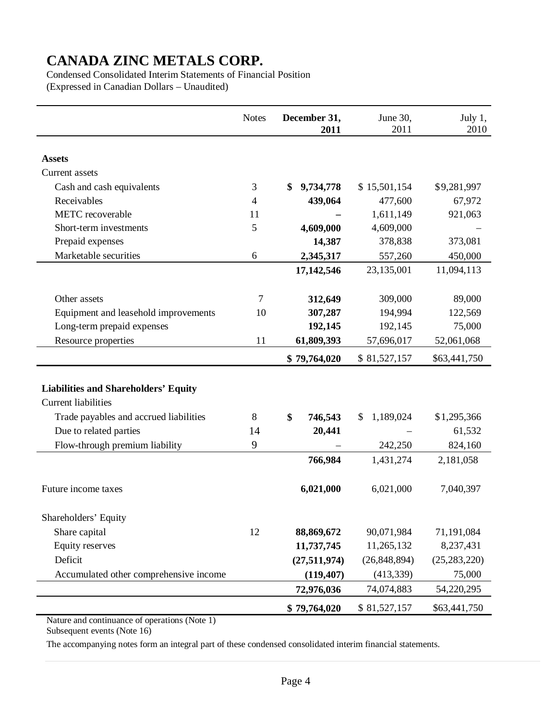Condensed Consolidated Interim Statements of Financial Position (Expressed in Canadian Dollars – Unaudited)

|                                                                           | <b>Notes</b>   | December 31,<br>2011 | June 30,<br>2011 | July 1,<br>2010 |
|---------------------------------------------------------------------------|----------------|----------------------|------------------|-----------------|
|                                                                           |                |                      |                  |                 |
| <b>Assets</b>                                                             |                |                      |                  |                 |
| Current assets                                                            |                |                      |                  |                 |
| Cash and cash equivalents                                                 | 3              | 9,734,778<br>\$      | \$15,501,154     | \$9,281,997     |
| Receivables                                                               | 4              | 439,064              | 477,600          | 67,972          |
| <b>METC</b> recoverable                                                   | 11             |                      | 1,611,149        | 921,063         |
| Short-term investments                                                    | 5              | 4,609,000            | 4,609,000        |                 |
| Prepaid expenses                                                          |                | 14,387               | 378,838          | 373,081         |
| Marketable securities                                                     | 6              | 2,345,317            | 557,260          | 450,000         |
|                                                                           |                | 17,142,546           | 23,135,001       | 11,094,113      |
|                                                                           |                |                      |                  |                 |
| Other assets                                                              | $\overline{7}$ | 312,649              | 309,000          | 89,000          |
| Equipment and leasehold improvements                                      | 10             | 307,287              | 194,994          | 122,569         |
| Long-term prepaid expenses                                                |                | 192,145              | 192,145          | 75,000          |
| Resource properties                                                       | 11             | 61,809,393           | 57,696,017       | 52,061,068      |
|                                                                           |                | \$79,764,020         | \$81,527,157     | \$63,441,750    |
| <b>Liabilities and Shareholders' Equity</b><br><b>Current liabilities</b> |                |                      |                  |                 |
| Trade payables and accrued liabilities                                    | 8              | \$<br>746,543        | 1,189,024<br>S.  | \$1,295,366     |
| Due to related parties                                                    | 14             | 20,441               |                  | 61,532          |
| Flow-through premium liability                                            | 9              |                      | 242,250          | 824,160         |
|                                                                           |                | 766,984              | 1,431,274        | 2,181,058       |
| Future income taxes                                                       |                | 6,021,000            | 6,021,000        | 7,040,397       |
| Shareholders' Equity                                                      |                |                      |                  |                 |
| Share capital                                                             | 12             | 88,869,672           | 90,071,984       | 71,191,084      |
| <b>Equity reserves</b>                                                    |                | 11,737,745           | 11,265,132       | 8,237,431       |
| Deficit                                                                   |                | (27, 511, 974)       | (26, 848, 894)   | (25, 283, 220)  |
| Accumulated other comprehensive income                                    |                | (119, 407)           | (413, 339)       | 75,000          |
|                                                                           |                | 72,976,036           | 74,074,883       | 54,220,295      |
|                                                                           |                | \$79,764,020         | \$81,527,157     | \$63,441,750    |

Nature and continuance of operations (Note 1)

Subsequent events (Note 16)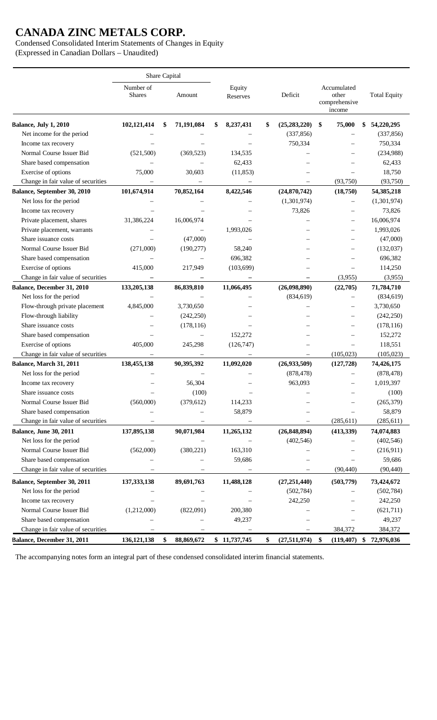Condensed Consolidated Interim Statements of Changes in Equity (Expressed in Canadian Dollars – Unaudited)

|                                    | Share Capital                        |    |                    |    |              |         |                |                                                 |            |                     |             |
|------------------------------------|--------------------------------------|----|--------------------|----|--------------|---------|----------------|-------------------------------------------------|------------|---------------------|-------------|
|                                    | Number of<br><b>Shares</b><br>Amount |    | Equity<br>Reserves |    |              | Deficit |                | Accumulated<br>other<br>comprehensive<br>income |            | <b>Total Equity</b> |             |
| <b>Balance, July 1, 2010</b>       | 102,121,414                          | \$ | 71,191,084         | \$ | 8,237,431    | \$      | (25, 283, 220) | \$                                              | 75,000     | \$                  | 54,220,295  |
| Net income for the period          |                                      |    |                    |    |              |         | (337, 856)     |                                                 |            |                     | (337, 856)  |
| Income tax recovery                |                                      |    |                    |    |              |         | 750,334        |                                                 |            |                     | 750,334     |
| Normal Course Issuer Bid           | (521,500)                            |    | (369, 523)         |    | 134,535      |         |                |                                                 |            |                     | (234,988)   |
| Share based compensation           |                                      |    |                    |    | 62,433       |         |                |                                                 |            |                     | 62,433      |
| Exercise of options                | 75,000                               |    | 30,603             |    | (11, 853)    |         |                |                                                 |            |                     | 18,750      |
| Change in fair value of securities |                                      |    |                    |    |              |         |                |                                                 | (93,750)   |                     | (93,750)    |
| Balance, September 30, 2010        | 101,674,914                          |    | 70,852,164         |    | 8,422,546    |         | (24,870,742)   |                                                 | (18,750)   |                     | 54,385,218  |
| Net loss for the period            |                                      |    |                    |    |              |         | (1,301,974)    |                                                 |            |                     | (1,301,974) |
| Income tax recovery                |                                      |    |                    |    |              |         | 73,826         |                                                 |            |                     | 73,826      |
| Private placement, shares          | 31,386,224                           |    | 16,006,974         |    |              |         |                |                                                 |            |                     | 16,006,974  |
| Private placement, warrants        |                                      |    |                    |    | 1,993,026    |         |                |                                                 |            |                     | 1,993,026   |
| Share issuance costs               |                                      |    | (47,000)           |    |              |         |                |                                                 |            |                     | (47,000)    |
| Normal Course Issuer Bid           | (271,000)                            |    | (190, 277)         |    | 58,240       |         |                |                                                 |            |                     | (132,037)   |
| Share based compensation           |                                      |    |                    |    | 696,382      |         |                |                                                 |            |                     | 696,382     |
| Exercise of options                | 415,000                              |    | 217,949            |    | (103, 699)   |         |                |                                                 |            |                     | 114,250     |
| Change in fair value of securities |                                      |    |                    |    |              |         |                |                                                 | (3,955)    |                     | (3,955)     |
| Balance, December 31, 2010         | 133,205,138                          |    | 86,839,810         |    | 11,066,495   |         | (26,098,890)   |                                                 | (22,705)   |                     | 71,784,710  |
| Net loss for the period            |                                      |    |                    |    |              |         | (834, 619)     |                                                 |            |                     | (834, 619)  |
| Flow-through private placement     | 4,845,000                            |    | 3,730,650          |    |              |         |                |                                                 |            |                     | 3,730,650   |
| Flow-through liability             |                                      |    | (242, 250)         |    |              |         |                |                                                 |            |                     | (242, 250)  |
| Share issuance costs               |                                      |    | (178, 116)         |    |              |         |                |                                                 |            |                     | (178, 116)  |
| Share based compensation           |                                      |    |                    |    | 152,272      |         |                |                                                 |            |                     | 152,272     |
| Exercise of options                | 405,000                              |    | 245,298            |    | (126, 747)   |         |                |                                                 |            |                     | 118,551     |
| Change in fair value of securities |                                      |    |                    |    |              |         |                |                                                 | (105, 023) |                     | (105, 023)  |
| Balance, March 31, 2011            | 138,455,138                          |    | 90,395,392         |    | 11,092,020   |         | (26,933,509)   |                                                 | (127, 728) |                     | 74,426,175  |
| Net loss for the period            |                                      |    |                    |    |              |         | (878, 478)     |                                                 |            |                     | (878, 478)  |
| Income tax recovery                |                                      |    | 56,304             |    |              |         | 963,093        |                                                 |            |                     | 1,019,397   |
| Share issuance costs               |                                      |    | (100)              |    |              |         |                |                                                 |            |                     | (100)       |
| Normal Course Issuer Bid           | (560,000)                            |    | (379, 612)         |    | 114,233      |         |                |                                                 |            |                     | (265, 379)  |
| Share based compensation           |                                      |    |                    |    | 58,879       |         |                |                                                 |            |                     | 58,879      |
| Change in fair value of securities |                                      |    |                    |    |              |         |                |                                                 | (285, 611) |                     | (285, 611)  |
| <b>Balance, June 30, 2011</b>      | 137,895,138                          |    | 90,071,984         |    | 11,265,132   |         | (26, 848, 894) |                                                 | (413, 339) |                     | 74,074,883  |
| Net loss for the period            |                                      |    |                    |    |              |         | (402, 546)     |                                                 |            |                     | (402, 546)  |
| Normal Course Issuer Bid           | (562,000)                            |    | (380, 221)         |    | 163,310      |         |                |                                                 |            |                     | (216,911)   |
| Share based compensation           |                                      |    |                    |    | 59,686       |         |                |                                                 |            |                     | 59,686      |
| Change in fair value of securities |                                      |    |                    |    |              |         |                |                                                 | (90, 440)  |                     | (90, 440)   |
| Balance, September 30, 2011        | 137, 333, 138                        |    | 89,691,763         |    | 11,488,128   |         | (27, 251, 440) |                                                 | (503, 779) |                     | 73,424,672  |
| Net loss for the period            |                                      |    |                    |    |              |         | (502, 784)     |                                                 |            |                     | (502, 784)  |
| Income tax recovery                |                                      |    |                    |    |              |         | 242,250        |                                                 |            |                     | 242,250     |
| Normal Course Issuer Bid           | (1,212,000)                          |    | (822,091)          |    | 200,380      |         |                |                                                 |            |                     | (621,711)   |
| Share based compensation           |                                      |    |                    |    | 49,237       |         |                |                                                 |            |                     | 49,237      |
| Change in fair value of securities |                                      |    |                    |    |              |         |                |                                                 | 384,372    |                     | 384,372     |
| Balance, December 31, 2011         | 136, 121, 138                        | \$ | 88,869,672         |    | \$11,737,745 | \$      | (27, 511, 974) | \$                                              | (119, 407) | \$                  | 72,976,036  |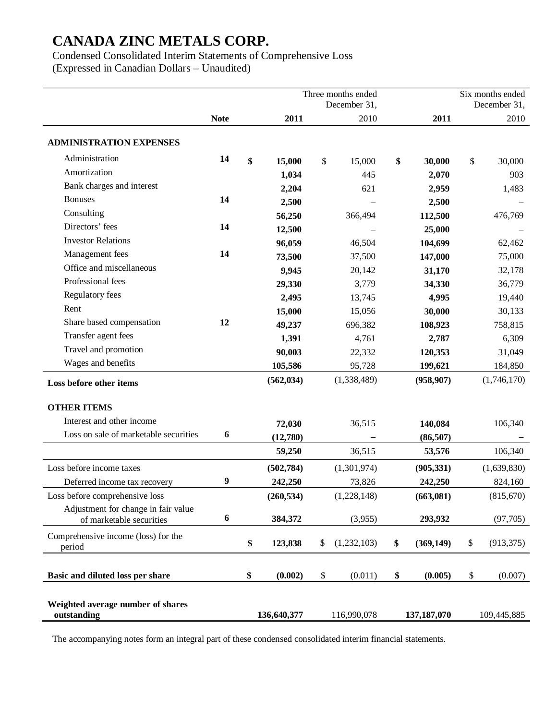Condensed Consolidated Interim Statements of Comprehensive Loss (Expressed in Canadian Dollars – Unaudited)

Three months ended December 31, Six months ended December 31, **Note** 2011 2010 2011 2010 2011 2010 **ADMINISTRATION EXPENSES**  Administration **14 \$ 15,000** \$ 15,000 **\$ 30,000** \$ 30,000 Amortization **1,034** 445 **2,070** 903 Bank charges and interest **2,204** 621 **2,959** 1,483 Bonuses **14 2,500** – **2,500** – Consulting **56,250** 366,494 **112,500** 476,769 Directors' fees **14 12,500** – **25,000** – Investor Relations **96,059** 46,504 **104,699** 62,462 Management fees **14 73,500** 37,500 **147,000** 75,000 Office and miscellaneous **9,945 20,142 31,170 32,178** Professional fees **29,330** 3,779 **34,330** 36,779 Regulatory fees **2,495** 13,745 **4,995** 19,440 Rent **15,000** 15,056 **30,000** 30,133 Share based compensation **12 49,237 696,382 108,923 758,815** Transfer agent fees **1,391** 4,761 **2,787** 6,309 Travel and promotion **90,003** 22,332 **120,353** 31,049 Wages and benefits **105,586** 95,728 **199,621** 184,850 **Loss before other items (562,034)** (1,338,489) **(958,907)** (1,746,170) **OTHER ITEMS**  Interest and other income **72,030** 36,515 **140,084** 106,340 Loss on sale of marketable securities **6** (12,780) – (86,507) **59,250** 36,515 **53,576** 106,340 Loss before income taxes **(502,784)** (1,301,974) **(905,331)** (1,639,830) Deferred income tax recovery **9 242,250** 73,826 **242,250** 824,160 Loss before comprehensive loss **(260,534)** (1,228,148) **(663,081)** (815,670) Adjustment for change in fair value of marketable securities **6 384,372** (3,955) **293,932** (97,705) Comprehensive income (loss) for the period **\$ 123,838** \$ (1,232,103) **\$ (369,149)** \$ (913,375) **Basic and diluted loss per share \$ (0.002)** \$ (0.011) **\$ (0.005)** \$ (0.007) **Weighted average number of shares outstanding 136,640,377** 116,990,078 **137,187,070** 109,445,885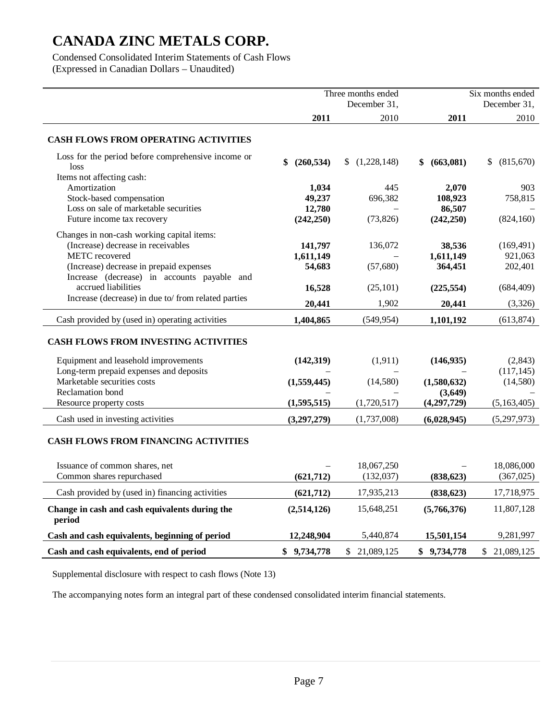Condensed Consolidated Interim Statements of Cash Flows (Expressed in Canadian Dollars – Unaudited)

|                                                                                                                                               |                                | Three months ended       |                                | Six months ended                 |
|-----------------------------------------------------------------------------------------------------------------------------------------------|--------------------------------|--------------------------|--------------------------------|----------------------------------|
|                                                                                                                                               |                                | December 31,             |                                | December 31,                     |
|                                                                                                                                               | 2011                           | 2010                     | 2011                           | 2010                             |
| CASH FLOWS FROM OPERATING ACTIVITIES                                                                                                          |                                |                          |                                |                                  |
| Loss for the period before comprehensive income or<br>loss                                                                                    | \$<br>(260, 534)               | (1,228,148)              | (663,081)<br>\$                | (815,670)<br>\$                  |
| Items not affecting cash:<br>Amortization                                                                                                     | 1,034                          | 445                      | 2,070                          | 903                              |
| Stock-based compensation                                                                                                                      | 49,237                         | 696,382                  | 108,923                        | 758,815                          |
| Loss on sale of marketable securities                                                                                                         | 12,780                         |                          | 86,507                         |                                  |
| Future income tax recovery                                                                                                                    | (242, 250)                     | (73, 826)                | (242, 250)                     | (824, 160)                       |
| Changes in non-cash working capital items:<br>(Increase) decrease in receivables<br>METC recovered<br>(Increase) decrease in prepaid expenses | 141,797<br>1,611,149<br>54,683 | 136,072<br>(57,680)      | 38,536<br>1,611,149<br>364,451 | (169, 491)<br>921,063<br>202,401 |
| Increase (decrease) in accounts payable and                                                                                                   |                                |                          |                                |                                  |
| accrued liabilities                                                                                                                           | 16,528                         | (25, 101)                | (225, 554)                     | (684, 409)                       |
| Increase (decrease) in due to/ from related parties                                                                                           | 20,441                         | 1,902                    | 20,441                         | (3,326)                          |
| Cash provided by (used in) operating activities                                                                                               | 1,404,865                      | (549, 954)               | 1,101,192                      | (613, 874)                       |
| <b>CASH FLOWS FROM INVESTING ACTIVITIES</b>                                                                                                   |                                |                          |                                |                                  |
| Equipment and leasehold improvements<br>Long-term prepaid expenses and deposits                                                               | (142, 319)                     | (1, 911)                 | (146, 935)                     | (2,843)<br>(117, 145)            |
| Marketable securities costs<br>Reclamation bond                                                                                               | (1,559,445)                    | (14,580)                 | (1,580,632)<br>(3,649)         | (14,580)                         |
| Resource property costs                                                                                                                       | (1,595,515)                    | (1,720,517)              | (4,297,729)                    | (5,163,405)                      |
| Cash used in investing activities                                                                                                             | (3,297,279)                    | (1,737,008)              | (6,028,945)                    | (5,297,973)                      |
| CASH FLOWS FROM FINANCING ACTIVITIES                                                                                                          |                                |                          |                                |                                  |
| Issuance of common shares, net<br>Common shares repurchased                                                                                   | (621,712)                      | 18,067,250<br>(132, 037) | (838, 623)                     | 18,086,000<br>(367, 025)         |
| Cash provided by (used in) financing activities                                                                                               | (621, 712)                     | 17,935,213               | (838, 623)                     | 17,718,975                       |
| Change in cash and cash equivalents during the<br>period                                                                                      | (2,514,126)                    | 15,648,251               | (5,766,376)                    | 11,807,128                       |
| Cash and cash equivalents, beginning of period                                                                                                | 12,248,904                     | 5,440,874                | 15,501,154                     | 9,281,997                        |
| Cash and cash equivalents, end of period                                                                                                      | \$9,734,778                    | \$21,089,125             | \$9,734,778                    | \$21,089,125                     |

Supplemental disclosure with respect to cash flows (Note 13)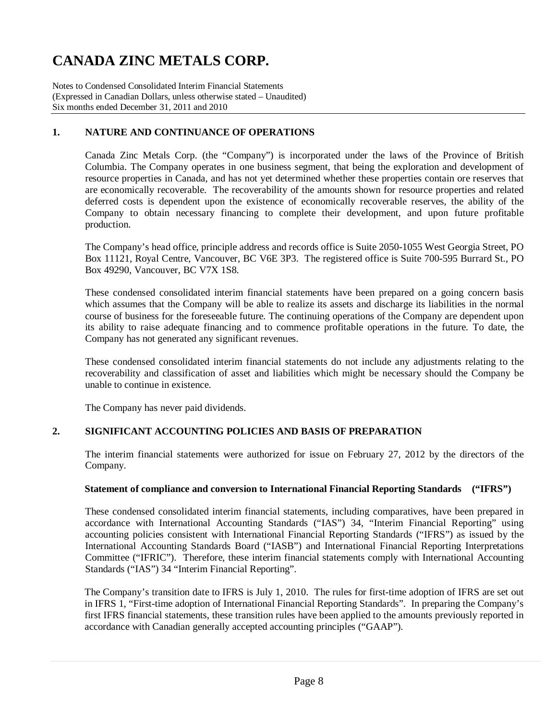Notes to Condensed Consolidated Interim Financial Statements (Expressed in Canadian Dollars, unless otherwise stated – Unaudited) Six months ended December 31, 2011 and 2010

## **1. NATURE AND CONTINUANCE OF OPERATIONS**

Canada Zinc Metals Corp. (the "Company") is incorporated under the laws of the Province of British Columbia. The Company operates in one business segment, that being the exploration and development of resource properties in Canada, and has not yet determined whether these properties contain ore reserves that are economically recoverable. The recoverability of the amounts shown for resource properties and related deferred costs is dependent upon the existence of economically recoverable reserves, the ability of the Company to obtain necessary financing to complete their development, and upon future profitable production.

The Company's head office, principle address and records office is Suite 2050-1055 West Georgia Street, PO Box 11121, Royal Centre, Vancouver, BC V6E 3P3. The registered office is Suite 700-595 Burrard St., PO Box 49290, Vancouver, BC V7X 1S8.

These condensed consolidated interim financial statements have been prepared on a going concern basis which assumes that the Company will be able to realize its assets and discharge its liabilities in the normal course of business for the foreseeable future. The continuing operations of the Company are dependent upon its ability to raise adequate financing and to commence profitable operations in the future. To date, the Company has not generated any significant revenues.

These condensed consolidated interim financial statements do not include any adjustments relating to the recoverability and classification of asset and liabilities which might be necessary should the Company be unable to continue in existence.

The Company has never paid dividends.

### **2. SIGNIFICANT ACCOUNTING POLICIES AND BASIS OF PREPARATION**

The interim financial statements were authorized for issue on February 27, 2012 by the directors of the Company.

#### **Statement of compliance and conversion to International Financial Reporting Standards ("IFRS")**

These condensed consolidated interim financial statements, including comparatives, have been prepared in accordance with International Accounting Standards ("IAS") 34, "Interim Financial Reporting" using accounting policies consistent with International Financial Reporting Standards ("IFRS") as issued by the International Accounting Standards Board ("IASB") and International Financial Reporting Interpretations Committee ("IFRIC"). Therefore, these interim financial statements comply with International Accounting Standards ("IAS") 34 "Interim Financial Reporting".

The Company's transition date to IFRS is July 1, 2010. The rules for first-time adoption of IFRS are set out in IFRS 1, "First-time adoption of International Financial Reporting Standards". In preparing the Company's first IFRS financial statements, these transition rules have been applied to the amounts previously reported in accordance with Canadian generally accepted accounting principles ("GAAP").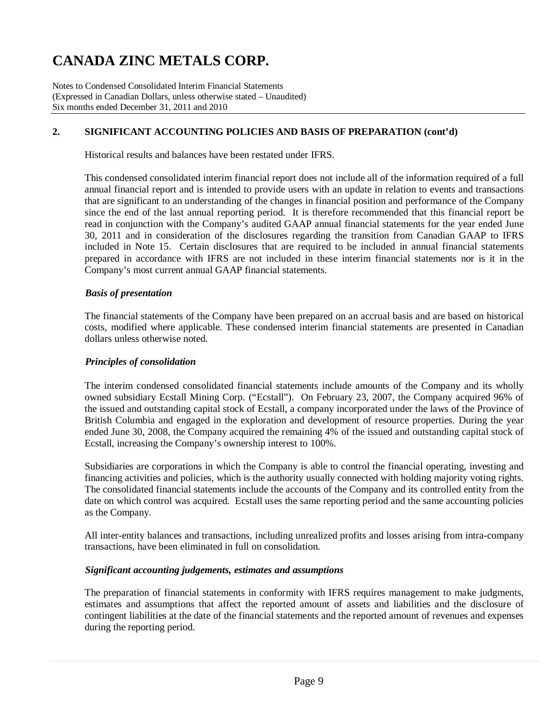Notes to Condensed Consolidated Interim Financial Statements (Expressed in Canadian Dollars, unless otherwise stated – Unaudited) Six months ended December 31, 2011 and 2010

### **2. SIGNIFICANT ACCOUNTING POLICIES AND BASIS OF PREPARATION (cont'd)**

Historical results and balances have been restated under IFRS.

This condensed consolidated interim financial report does not include all of the information required of a full annual financial report and is intended to provide users with an update in relation to events and transactions that are significant to an understanding of the changes in financial position and performance of the Company since the end of the last annual reporting period. It is therefore recommended that this financial report be read in conjunction with the Company's audited GAAP annual financial statements for the year ended June 30, 2011 and in consideration of the disclosures regarding the transition from Canadian GAAP to IFRS included in Note 15. Certain disclosures that are required to be included in annual financial statements prepared in accordance with IFRS are not included in these interim financial statements nor is it in the Company's most current annual GAAP financial statements.

### *Basis of presentation*

The financial statements of the Company have been prepared on an accrual basis and are based on historical costs, modified where applicable. These condensed interim financial statements are presented in Canadian dollars unless otherwise noted.

### *Principles of consolidation*

The interim condensed consolidated financial statements include amounts of the Company and its wholly owned subsidiary Ecstall Mining Corp. ("Ecstall"). On February 23, 2007, the Company acquired 96% of the issued and outstanding capital stock of Ecstall, a company incorporated under the laws of the Province of British Columbia and engaged in the exploration and development of resource properties. During the year ended June 30, 2008, the Company acquired the remaining 4% of the issued and outstanding capital stock of Ecstall, increasing the Company's ownership interest to 100%.

Subsidiaries are corporations in which the Company is able to control the financial operating, investing and financing activities and policies, which is the authority usually connected with holding majority voting rights. The consolidated financial statements include the accounts of the Company and its controlled entity from the date on which control was acquired. Ecstall uses the same reporting period and the same accounting policies as the Company.

All inter-entity balances and transactions, including unrealized profits and losses arising from intra-company transactions, have been eliminated in full on consolidation.

#### *Significant accounting judgements, estimates and assumptions*

The preparation of financial statements in conformity with IFRS requires management to make judgments, estimates and assumptions that affect the reported amount of assets and liabilities and the disclosure of contingent liabilities at the date of the financial statements and the reported amount of revenues and expenses during the reporting period.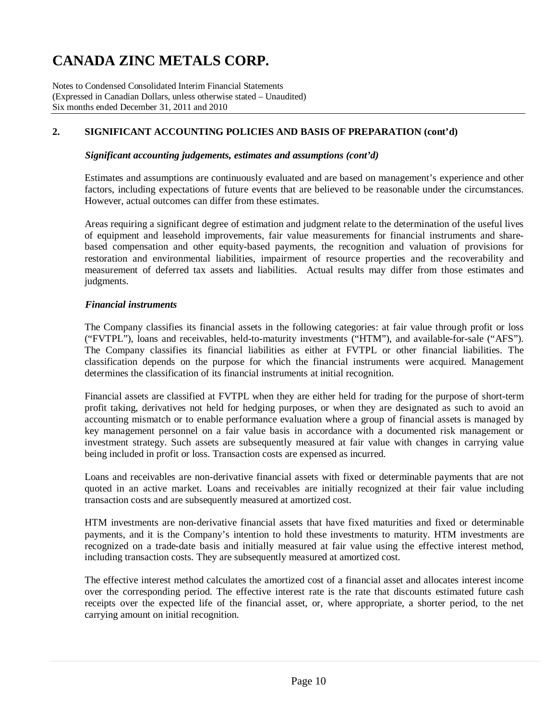Notes to Condensed Consolidated Interim Financial Statements (Expressed in Canadian Dollars, unless otherwise stated – Unaudited) Six months ended December 31, 2011 and 2010

### **2. SIGNIFICANT ACCOUNTING POLICIES AND BASIS OF PREPARATION (cont'd)**

#### *Significant accounting judgements, estimates and assumptions (cont'd)*

Estimates and assumptions are continuously evaluated and are based on management's experience and other factors, including expectations of future events that are believed to be reasonable under the circumstances. However, actual outcomes can differ from these estimates.

Areas requiring a significant degree of estimation and judgment relate to the determination of the useful lives of equipment and leasehold improvements, fair value measurements for financial instruments and sharebased compensation and other equity-based payments, the recognition and valuation of provisions for restoration and environmental liabilities, impairment of resource properties and the recoverability and measurement of deferred tax assets and liabilities. Actual results may differ from those estimates and judgments.

#### *Financial instruments*

The Company classifies its financial assets in the following categories: at fair value through profit or loss ("FVTPL"), loans and receivables, held-to-maturity investments ("HTM"), and available-for-sale ("AFS"). The Company classifies its financial liabilities as either at FVTPL or other financial liabilities. The classification depends on the purpose for which the financial instruments were acquired. Management determines the classification of its financial instruments at initial recognition.

Financial assets are classified at FVTPL when they are either held for trading for the purpose of short-term profit taking, derivatives not held for hedging purposes, or when they are designated as such to avoid an accounting mismatch or to enable performance evaluation where a group of financial assets is managed by key management personnel on a fair value basis in accordance with a documented risk management or investment strategy. Such assets are subsequently measured at fair value with changes in carrying value being included in profit or loss. Transaction costs are expensed as incurred.

Loans and receivables are non-derivative financial assets with fixed or determinable payments that are not quoted in an active market. Loans and receivables are initially recognized at their fair value including transaction costs and are subsequently measured at amortized cost.

HTM investments are non-derivative financial assets that have fixed maturities and fixed or determinable payments, and it is the Company's intention to hold these investments to maturity. HTM investments are recognized on a trade-date basis and initially measured at fair value using the effective interest method, including transaction costs. They are subsequently measured at amortized cost.

The effective interest method calculates the amortized cost of a financial asset and allocates interest income over the corresponding period. The effective interest rate is the rate that discounts estimated future cash receipts over the expected life of the financial asset, or, where appropriate, a shorter period, to the net carrying amount on initial recognition.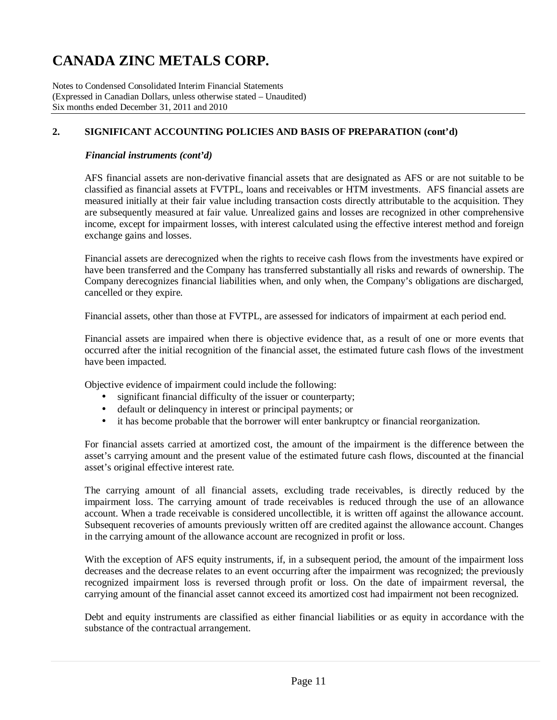Notes to Condensed Consolidated Interim Financial Statements (Expressed in Canadian Dollars, unless otherwise stated – Unaudited) Six months ended December 31, 2011 and 2010

### **2. SIGNIFICANT ACCOUNTING POLICIES AND BASIS OF PREPARATION (cont'd)**

#### *Financial instruments (cont'd)*

AFS financial assets are non-derivative financial assets that are designated as AFS or are not suitable to be classified as financial assets at FVTPL, loans and receivables or HTM investments. AFS financial assets are measured initially at their fair value including transaction costs directly attributable to the acquisition. They are subsequently measured at fair value. Unrealized gains and losses are recognized in other comprehensive income, except for impairment losses, with interest calculated using the effective interest method and foreign exchange gains and losses.

Financial assets are derecognized when the rights to receive cash flows from the investments have expired or have been transferred and the Company has transferred substantially all risks and rewards of ownership. The Company derecognizes financial liabilities when, and only when, the Company's obligations are discharged, cancelled or they expire.

Financial assets, other than those at FVTPL, are assessed for indicators of impairment at each period end.

Financial assets are impaired when there is objective evidence that, as a result of one or more events that occurred after the initial recognition of the financial asset, the estimated future cash flows of the investment have been impacted.

Objective evidence of impairment could include the following:

- significant financial difficulty of the issuer or counterparty;
- default or delinquency in interest or principal payments; or
- it has become probable that the borrower will enter bankruptcy or financial reorganization.

For financial assets carried at amortized cost, the amount of the impairment is the difference between the asset's carrying amount and the present value of the estimated future cash flows, discounted at the financial asset's original effective interest rate.

The carrying amount of all financial assets, excluding trade receivables, is directly reduced by the impairment loss. The carrying amount of trade receivables is reduced through the use of an allowance account. When a trade receivable is considered uncollectible, it is written off against the allowance account. Subsequent recoveries of amounts previously written off are credited against the allowance account. Changes in the carrying amount of the allowance account are recognized in profit or loss.

With the exception of AFS equity instruments, if, in a subsequent period, the amount of the impairment loss decreases and the decrease relates to an event occurring after the impairment was recognized; the previously recognized impairment loss is reversed through profit or loss. On the date of impairment reversal, the carrying amount of the financial asset cannot exceed its amortized cost had impairment not been recognized.

Debt and equity instruments are classified as either financial liabilities or as equity in accordance with the substance of the contractual arrangement.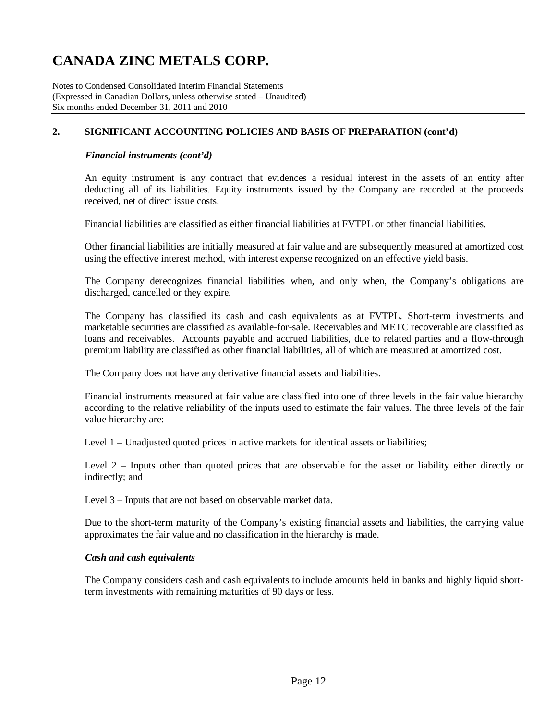Notes to Condensed Consolidated Interim Financial Statements (Expressed in Canadian Dollars, unless otherwise stated – Unaudited) Six months ended December 31, 2011 and 2010

### **2. SIGNIFICANT ACCOUNTING POLICIES AND BASIS OF PREPARATION (cont'd)**

#### *Financial instruments (cont'd)*

An equity instrument is any contract that evidences a residual interest in the assets of an entity after deducting all of its liabilities. Equity instruments issued by the Company are recorded at the proceeds received, net of direct issue costs.

Financial liabilities are classified as either financial liabilities at FVTPL or other financial liabilities.

Other financial liabilities are initially measured at fair value and are subsequently measured at amortized cost using the effective interest method, with interest expense recognized on an effective yield basis.

The Company derecognizes financial liabilities when, and only when, the Company's obligations are discharged, cancelled or they expire.

The Company has classified its cash and cash equivalents as at FVTPL. Short-term investments and marketable securities are classified as available-for-sale. Receivables and METC recoverable are classified as loans and receivables. Accounts payable and accrued liabilities, due to related parties and a flow-through premium liability are classified as other financial liabilities, all of which are measured at amortized cost.

The Company does not have any derivative financial assets and liabilities.

Financial instruments measured at fair value are classified into one of three levels in the fair value hierarchy according to the relative reliability of the inputs used to estimate the fair values. The three levels of the fair value hierarchy are:

Level 1 – Unadjusted quoted prices in active markets for identical assets or liabilities;

Level 2 – Inputs other than quoted prices that are observable for the asset or liability either directly or indirectly; and

Level 3 – Inputs that are not based on observable market data.

Due to the short-term maturity of the Company's existing financial assets and liabilities, the carrying value approximates the fair value and no classification in the hierarchy is made.

#### *Cash and cash equivalents*

The Company considers cash and cash equivalents to include amounts held in banks and highly liquid shortterm investments with remaining maturities of 90 days or less.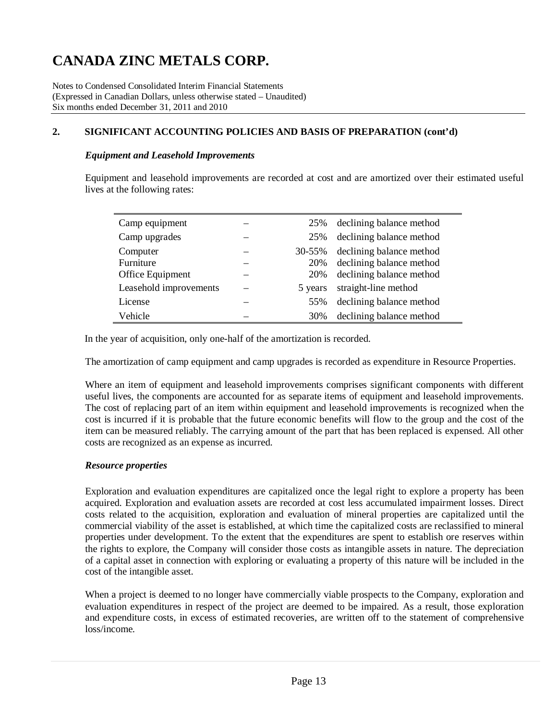Notes to Condensed Consolidated Interim Financial Statements (Expressed in Canadian Dollars, unless otherwise stated – Unaudited) Six months ended December 31, 2011 and 2010

### **2. SIGNIFICANT ACCOUNTING POLICIES AND BASIS OF PREPARATION (cont'd)**

#### *Equipment and Leasehold Improvements*

Equipment and leasehold improvements are recorded at cost and are amortized over their estimated useful lives at the following rates:

| Camp equipment         | 25%         | declining balance method |
|------------------------|-------------|--------------------------|
| Camp upgrades          | 25%         | declining balance method |
| Computer               | $30 - 55\%$ | declining balance method |
| Furniture              | 20%         | declining balance method |
| Office Equipment       | 20%         | declining balance method |
| Leasehold improvements | 5 years     | straight-line method     |
| License                | 55%         | declining balance method |
| Vehicle                | 30%         | declining balance method |

In the year of acquisition, only one-half of the amortization is recorded.

The amortization of camp equipment and camp upgrades is recorded as expenditure in Resource Properties.

Where an item of equipment and leasehold improvements comprises significant components with different useful lives, the components are accounted for as separate items of equipment and leasehold improvements. The cost of replacing part of an item within equipment and leasehold improvements is recognized when the cost is incurred if it is probable that the future economic benefits will flow to the group and the cost of the item can be measured reliably. The carrying amount of the part that has been replaced is expensed. All other costs are recognized as an expense as incurred.

#### *Resource properties*

Exploration and evaluation expenditures are capitalized once the legal right to explore a property has been acquired. Exploration and evaluation assets are recorded at cost less accumulated impairment losses. Direct costs related to the acquisition, exploration and evaluation of mineral properties are capitalized until the commercial viability of the asset is established, at which time the capitalized costs are reclassified to mineral properties under development. To the extent that the expenditures are spent to establish ore reserves within the rights to explore, the Company will consider those costs as intangible assets in nature. The depreciation of a capital asset in connection with exploring or evaluating a property of this nature will be included in the cost of the intangible asset.

When a project is deemed to no longer have commercially viable prospects to the Company, exploration and evaluation expenditures in respect of the project are deemed to be impaired. As a result, those exploration and expenditure costs, in excess of estimated recoveries, are written off to the statement of comprehensive loss/income.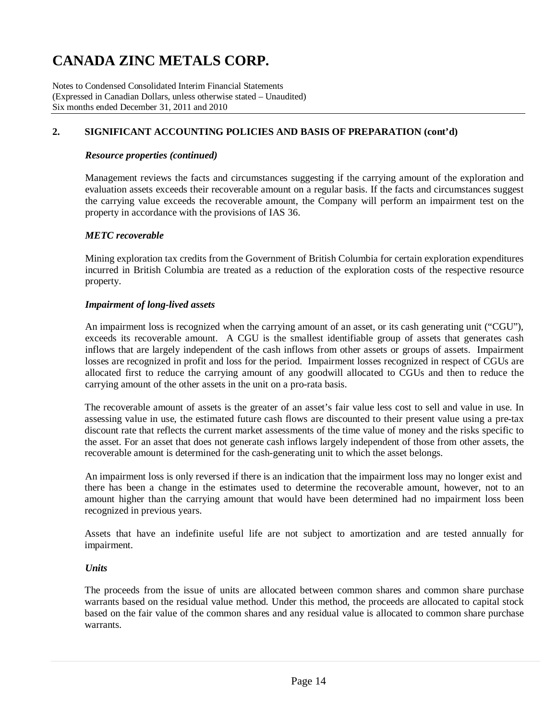Notes to Condensed Consolidated Interim Financial Statements (Expressed in Canadian Dollars, unless otherwise stated – Unaudited) Six months ended December 31, 2011 and 2010

### **2. SIGNIFICANT ACCOUNTING POLICIES AND BASIS OF PREPARATION (cont'd)**

#### *Resource properties (continued)*

Management reviews the facts and circumstances suggesting if the carrying amount of the exploration and evaluation assets exceeds their recoverable amount on a regular basis. If the facts and circumstances suggest the carrying value exceeds the recoverable amount, the Company will perform an impairment test on the property in accordance with the provisions of IAS 36.

#### *METC recoverable*

Mining exploration tax credits from the Government of British Columbia for certain exploration expenditures incurred in British Columbia are treated as a reduction of the exploration costs of the respective resource property.

#### *Impairment of long-lived assets*

An impairment loss is recognized when the carrying amount of an asset, or its cash generating unit ("CGU"), exceeds its recoverable amount. A CGU is the smallest identifiable group of assets that generates cash inflows that are largely independent of the cash inflows from other assets or groups of assets. Impairment losses are recognized in profit and loss for the period. Impairment losses recognized in respect of CGUs are allocated first to reduce the carrying amount of any goodwill allocated to CGUs and then to reduce the carrying amount of the other assets in the unit on a pro-rata basis.

The recoverable amount of assets is the greater of an asset's fair value less cost to sell and value in use. In assessing value in use, the estimated future cash flows are discounted to their present value using a pre-tax discount rate that reflects the current market assessments of the time value of money and the risks specific to the asset. For an asset that does not generate cash inflows largely independent of those from other assets, the recoverable amount is determined for the cash-generating unit to which the asset belongs.

An impairment loss is only reversed if there is an indication that the impairment loss may no longer exist and there has been a change in the estimates used to determine the recoverable amount, however, not to an amount higher than the carrying amount that would have been determined had no impairment loss been recognized in previous years.

Assets that have an indefinite useful life are not subject to amortization and are tested annually for impairment.

#### *Units*

The proceeds from the issue of units are allocated between common shares and common share purchase warrants based on the residual value method. Under this method, the proceeds are allocated to capital stock based on the fair value of the common shares and any residual value is allocated to common share purchase warrants.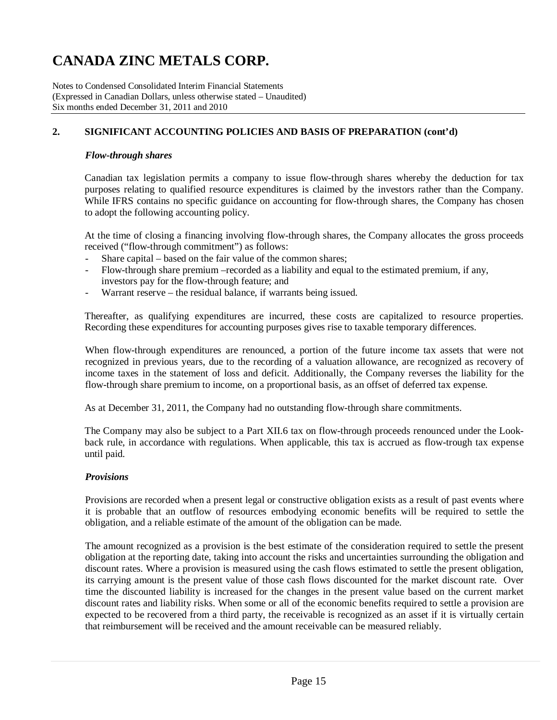Notes to Condensed Consolidated Interim Financial Statements (Expressed in Canadian Dollars, unless otherwise stated – Unaudited) Six months ended December 31, 2011 and 2010

### **2. SIGNIFICANT ACCOUNTING POLICIES AND BASIS OF PREPARATION (cont'd)**

#### *Flow-through shares*

Canadian tax legislation permits a company to issue flow-through shares whereby the deduction for tax purposes relating to qualified resource expenditures is claimed by the investors rather than the Company. While IFRS contains no specific guidance on accounting for flow-through shares, the Company has chosen to adopt the following accounting policy.

At the time of closing a financing involving flow-through shares, the Company allocates the gross proceeds received ("flow-through commitment") as follows:

- Share capital based on the fair value of the common shares;
- Flow-through share premium –recorded as a liability and equal to the estimated premium, if any, investors pay for the flow-through feature; and
- Warrant reserve the residual balance, if warrants being issued.

Thereafter, as qualifying expenditures are incurred, these costs are capitalized to resource properties. Recording these expenditures for accounting purposes gives rise to taxable temporary differences.

When flow-through expenditures are renounced, a portion of the future income tax assets that were not recognized in previous years, due to the recording of a valuation allowance, are recognized as recovery of income taxes in the statement of loss and deficit. Additionally, the Company reverses the liability for the flow-through share premium to income, on a proportional basis, as an offset of deferred tax expense.

As at December 31, 2011, the Company had no outstanding flow-through share commitments.

The Company may also be subject to a Part XII.6 tax on flow-through proceeds renounced under the Lookback rule, in accordance with regulations. When applicable, this tax is accrued as flow-trough tax expense until paid.

#### *Provisions*

Provisions are recorded when a present legal or constructive obligation exists as a result of past events where it is probable that an outflow of resources embodying economic benefits will be required to settle the obligation, and a reliable estimate of the amount of the obligation can be made.

The amount recognized as a provision is the best estimate of the consideration required to settle the present obligation at the reporting date, taking into account the risks and uncertainties surrounding the obligation and discount rates. Where a provision is measured using the cash flows estimated to settle the present obligation, its carrying amount is the present value of those cash flows discounted for the market discount rate. Over time the discounted liability is increased for the changes in the present value based on the current market discount rates and liability risks. When some or all of the economic benefits required to settle a provision are expected to be recovered from a third party, the receivable is recognized as an asset if it is virtually certain that reimbursement will be received and the amount receivable can be measured reliably.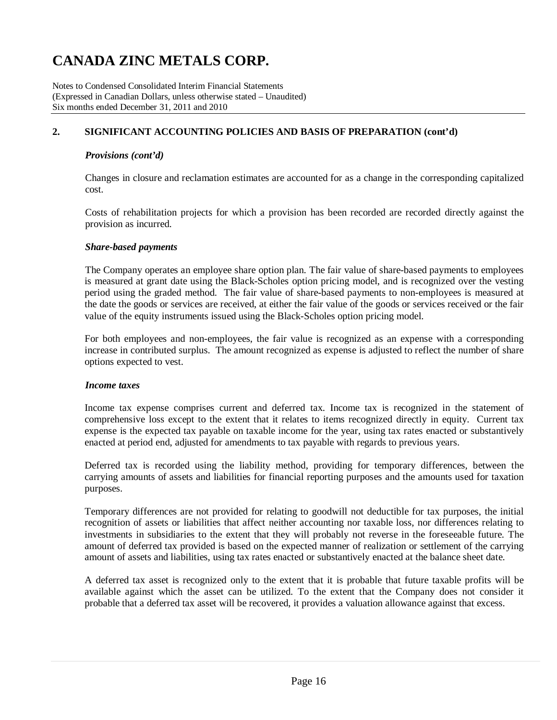Notes to Condensed Consolidated Interim Financial Statements (Expressed in Canadian Dollars, unless otherwise stated – Unaudited) Six months ended December 31, 2011 and 2010

### **2. SIGNIFICANT ACCOUNTING POLICIES AND BASIS OF PREPARATION (cont'd)**

### *Provisions (cont'd)*

Changes in closure and reclamation estimates are accounted for as a change in the corresponding capitalized cost.

Costs of rehabilitation projects for which a provision has been recorded are recorded directly against the provision as incurred.

### *Share-based payments*

The Company operates an employee share option plan. The fair value of share-based payments to employees is measured at grant date using the Black-Scholes option pricing model, and is recognized over the vesting period using the graded method. The fair value of share-based payments to non-employees is measured at the date the goods or services are received, at either the fair value of the goods or services received or the fair value of the equity instruments issued using the Black-Scholes option pricing model.

For both employees and non-employees, the fair value is recognized as an expense with a corresponding increase in contributed surplus. The amount recognized as expense is adjusted to reflect the number of share options expected to vest.

#### *Income taxes*

Income tax expense comprises current and deferred tax. Income tax is recognized in the statement of comprehensive loss except to the extent that it relates to items recognized directly in equity. Current tax expense is the expected tax payable on taxable income for the year, using tax rates enacted or substantively enacted at period end, adjusted for amendments to tax payable with regards to previous years.

Deferred tax is recorded using the liability method, providing for temporary differences, between the carrying amounts of assets and liabilities for financial reporting purposes and the amounts used for taxation purposes.

Temporary differences are not provided for relating to goodwill not deductible for tax purposes, the initial recognition of assets or liabilities that affect neither accounting nor taxable loss, nor differences relating to investments in subsidiaries to the extent that they will probably not reverse in the foreseeable future. The amount of deferred tax provided is based on the expected manner of realization or settlement of the carrying amount of assets and liabilities, using tax rates enacted or substantively enacted at the balance sheet date.

A deferred tax asset is recognized only to the extent that it is probable that future taxable profits will be available against which the asset can be utilized. To the extent that the Company does not consider it probable that a deferred tax asset will be recovered, it provides a valuation allowance against that excess.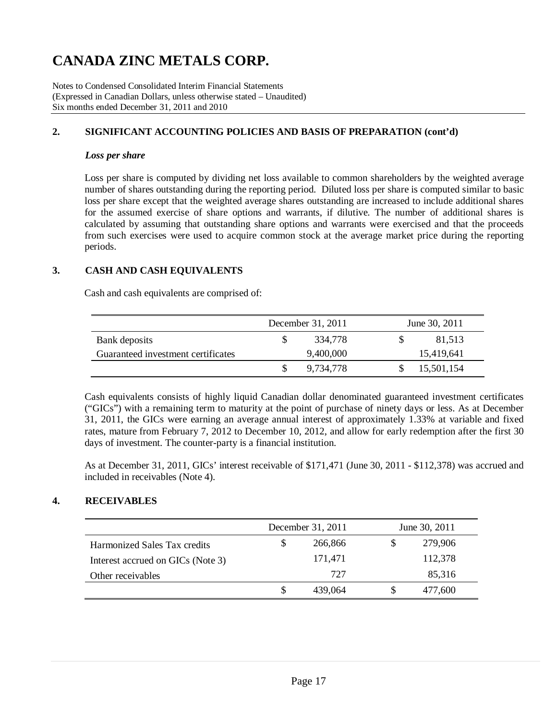Notes to Condensed Consolidated Interim Financial Statements (Expressed in Canadian Dollars, unless otherwise stated – Unaudited) Six months ended December 31, 2011 and 2010

### **2. SIGNIFICANT ACCOUNTING POLICIES AND BASIS OF PREPARATION (cont'd)**

#### *Loss per share*

Loss per share is computed by dividing net loss available to common shareholders by the weighted average number of shares outstanding during the reporting period. Diluted loss per share is computed similar to basic loss per share except that the weighted average shares outstanding are increased to include additional shares for the assumed exercise of share options and warrants, if dilutive. The number of additional shares is calculated by assuming that outstanding share options and warrants were exercised and that the proceeds from such exercises were used to acquire common stock at the average market price during the reporting periods.

### **3. CASH AND CASH EQUIVALENTS**

Cash and cash equivalents are comprised of:

|                                    | December 31, 2011 | June 30, 2011 |
|------------------------------------|-------------------|---------------|
| Bank deposits                      | 334.778           | 81,513        |
| Guaranteed investment certificates | 9.400.000         | 15.419.641    |
|                                    | 9.734.778         | 15,501,154    |

Cash equivalents consists of highly liquid Canadian dollar denominated guaranteed investment certificates ("GICs") with a remaining term to maturity at the point of purchase of ninety days or less. As at December 31, 2011, the GICs were earning an average annual interest of approximately 1.33% at variable and fixed rates, mature from February 7, 2012 to December 10, 2012, and allow for early redemption after the first 30 days of investment. The counter-party is a financial institution.

As at December 31, 2011, GICs' interest receivable of \$171,471 (June 30, 2011 - \$112,378) was accrued and included in receivables (Note 4).

### **4. RECEIVABLES**

|                                   | December 31, 2011 | June 30, 2011 |
|-----------------------------------|-------------------|---------------|
| Harmonized Sales Tax credits      | 266,866           | 279,906       |
| Interest accrued on GICs (Note 3) | 171,471           | 112,378       |
| Other receivables                 | 727               | 85,316        |
|                                   | 439.064           | 477,600       |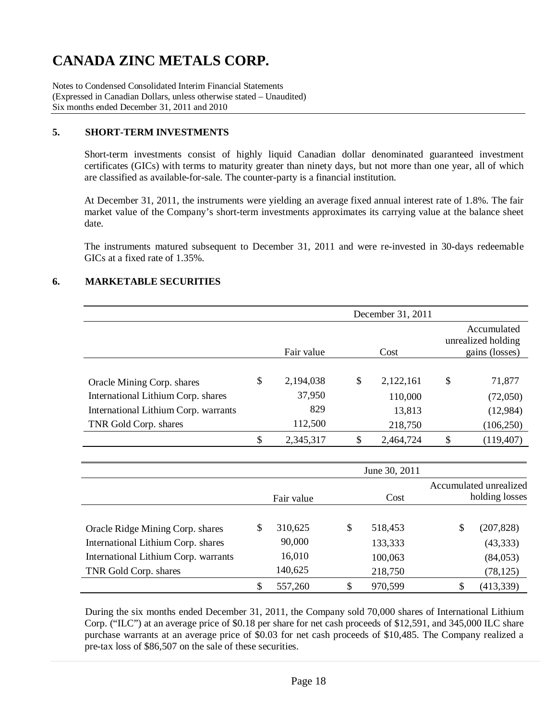Notes to Condensed Consolidated Interim Financial Statements (Expressed in Canadian Dollars, unless otherwise stated – Unaudited) Six months ended December 31, 2011 and 2010

## **5. SHORT-TERM INVESTMENTS**

Short-term investments consist of highly liquid Canadian dollar denominated guaranteed investment certificates (GICs) with terms to maturity greater than ninety days, but not more than one year, all of which are classified as available-for-sale. The counter-party is a financial institution.

At December 31, 2011, the instruments were yielding an average fixed annual interest rate of 1.8%. The fair market value of the Company's short-term investments approximates its carrying value at the balance sheet date.

The instruments matured subsequent to December 31, 2011 and were re-invested in 30-days redeemable GICs at a fixed rate of 1.35%.

### **6. MARKETABLE SECURITIES**

|                                      |               |            | December 31, 2011 |                                                     |
|--------------------------------------|---------------|------------|-------------------|-----------------------------------------------------|
|                                      |               | Fair value | Cost              | Accumulated<br>unrealized holding<br>gains (losses) |
|                                      |               |            |                   |                                                     |
| Oracle Mining Corp. shares           | $\mathcal{S}$ | 2,194,038  | \$<br>2,122,161   | \$<br>71,877                                        |
| International Lithium Corp. shares   |               | 37,950     | 110,000           | (72,050)                                            |
| International Lithium Corp. warrants |               | 829        | 13,813            | (12,984)                                            |
| TNR Gold Corp. shares                |               | 112,500    | 218,750           | (106, 250)                                          |
|                                      | \$            | 2,345,317  | \$<br>2,464,724   | \$<br>(119, 407)                                    |
|                                      |               |            |                   |                                                     |
|                                      |               |            | June 30, 2011     |                                                     |
|                                      |               | Fair value | Cost              | Accumulated unrealized<br>holding losses            |
| Oracle Ridge Mining Corp. shares     | \$            | 310,625    | \$<br>518,453     | \$<br>(207, 828)                                    |
| International Lithium Corp. shares   |               | 90,000     | 133,333           | (43, 333)                                           |
| International Lithium Corp. warrants |               | 16,010     | 100,063           | (84, 053)                                           |
| TNR Gold Corp. shares                |               | 140,625    | 218,750           | (78, 125)                                           |
|                                      | \$            | 557,260    | \$<br>970,599     | \$<br>(413, 339)                                    |

During the six months ended December 31, 2011, the Company sold 70,000 shares of International Lithium Corp. ("ILC") at an average price of \$0.18 per share for net cash proceeds of \$12,591, and 345,000 ILC share purchase warrants at an average price of \$0.03 for net cash proceeds of \$10,485. The Company realized a pre-tax loss of \$86,507 on the sale of these securities.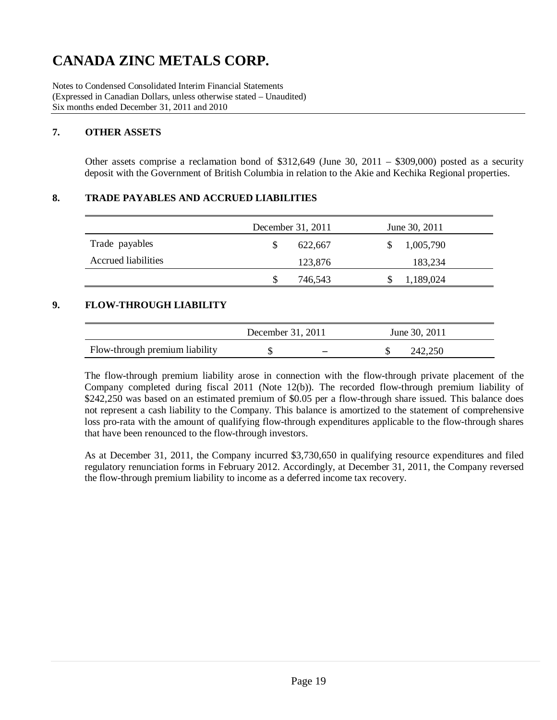Notes to Condensed Consolidated Interim Financial Statements (Expressed in Canadian Dollars, unless otherwise stated – Unaudited) Six months ended December 31, 2011 and 2010

## **7. OTHER ASSETS**

Other assets comprise a reclamation bond of \$312,649 (June 30, 2011 – \$309,000) posted as a security deposit with the Government of British Columbia in relation to the Akie and Kechika Regional properties.

### **8. TRADE PAYABLES AND ACCRUED LIABILITIES**

|                     | December 31, 2011 | June 30, 2011  |  |
|---------------------|-------------------|----------------|--|
| Trade payables      | S<br>622,667      | 1,005,790<br>S |  |
| Accrued liabilities | 123,876           | 183,234        |  |
|                     | 746,543           | 1,189,024      |  |

### **9. FLOW-THROUGH LIABILITY**

|                                | December 31, 2011 |                          | June 30, 2011 |         |  |  |  |
|--------------------------------|-------------------|--------------------------|---------------|---------|--|--|--|
| Flow-through premium liability |                   | $\overline{\phantom{0}}$ |               | 242.250 |  |  |  |

The flow-through premium liability arose in connection with the flow-through private placement of the Company completed during fiscal 2011 (Note 12(b)). The recorded flow-through premium liability of \$242,250 was based on an estimated premium of \$0.05 per a flow-through share issued. This balance does not represent a cash liability to the Company. This balance is amortized to the statement of comprehensive loss pro-rata with the amount of qualifying flow-through expenditures applicable to the flow-through shares that have been renounced to the flow-through investors.

As at December 31, 2011, the Company incurred \$3,730,650 in qualifying resource expenditures and filed regulatory renunciation forms in February 2012. Accordingly, at December 31, 2011, the Company reversed the flow-through premium liability to income as a deferred income tax recovery.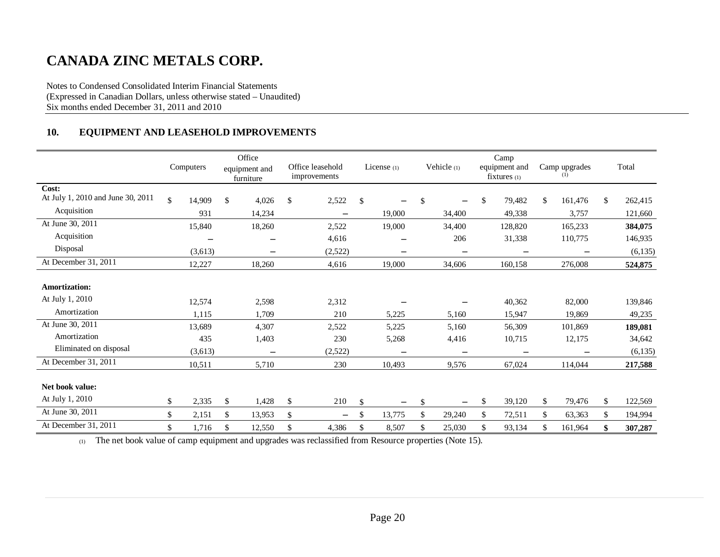Notes to Condensed Consolidated Interim Financial Statements (Expressed in Canadian Dollars, unless otherwise stated – Unaudited) Six months ended December 31, 2011 and 2010

## **10. EQUIPMENT AND LEASEHOLD IMPROVEMENTS**

|                                                         | Computers         | Office<br>equipment and<br>furniture | Office leasehold<br>improvements | License $(1)$                      |              | Vehicle (1)       |               | Camp<br>equipment and<br>fixtures $(1)$ | Camp upgrades<br>(1) | Total             |
|---------------------------------------------------------|-------------------|--------------------------------------|----------------------------------|------------------------------------|--------------|-------------------|---------------|-----------------------------------------|----------------------|-------------------|
| Cost:<br>At July 1, 2010 and June 30, 2011              | \$<br>14,909      | \$<br>4,026                          | \$<br>2,522                      | \$                                 | $\mathbb{S}$ |                   | <sup>\$</sup> | 79,482                                  | \$<br>161,476        | \$<br>262,415     |
| Acquisition                                             | 931               | 14,234                               | $\qquad \qquad =$                | 19,000                             |              | 34,400            |               | 49,338                                  | 3,757                | 121,660           |
| At June 30, 2011                                        | 15,840            | 18,260                               | 2,522                            | 19,000                             |              | 34,400            |               | 128,820                                 | 165,233              | 384,075           |
| Acquisition                                             |                   | —                                    | 4,616                            |                                    |              | 206               |               | 31,338                                  | 110,775              | 146,935           |
| Disposal                                                | (3,613)           | $\overline{\phantom{0}}$             | (2,522)                          | $\overline{\phantom{0}}$           |              |                   |               | $\overline{\phantom{m}}$                | $\qquad \qquad$      | (6,135)           |
| At December 31, 2011                                    | 12.227            | 18.260                               | 4.616                            | 19,000                             |              | 34,606            |               | 160,158                                 | 276,008              | 524,875           |
| <b>Amortization:</b><br>At July 1, 2010<br>Amortization | 12,574<br>1,115   | 2,598<br>1,709                       | 2,312<br>210                     | 5,225                              |              | 5,160             |               | 40,362<br>15,947                        | 82,000<br>19,869     | 139,846<br>49,235 |
| At June 30, 2011<br>Amortization                        | 13,689<br>435     | 4,307<br>1,403                       | 2,522<br>230                     | 5,225<br>5,268                     |              | 5,160<br>4,416    |               | 56,309<br>10,715                        | 101,869<br>12,175    | 189,081<br>34,642 |
| Eliminated on disposal<br>At December 31, 2011          | (3,613)<br>10,511 | $\overline{\phantom{m}}$<br>5,710    | (2,522)<br>230                   | $\overline{\phantom{m}}$<br>10,493 |              | $\qquad \qquad -$ |               | 67,024                                  | 114,044              | (6,135)           |
|                                                         |                   |                                      |                                  |                                    |              | 9,576             |               |                                         |                      | 217,588           |
| Net book value:                                         |                   |                                      |                                  |                                    |              |                   |               |                                         |                      |                   |
| At July 1, 2010                                         | \$<br>2,335       | \$<br>1,428                          | \$<br>210                        | \$<br>$\overline{\phantom{0}}$     | \$           | $\qquad \qquad =$ | \$            | 39,120                                  | \$<br>79,476         | \$<br>122,569     |
| At June 30, 2011                                        | \$<br>2,151       | \$<br>13,953                         | \$<br>$\overline{\phantom{m}}$   | \$<br>13,775                       | \$           | 29,240            | \$            | 72,511                                  | \$<br>63,363         | \$<br>194,994     |
| At December 31, 2011                                    | \$<br>1,716       | \$<br>12,550                         | \$<br>4,386                      | \$<br>8,507                        | \$           | 25,030            | \$            | 93,134                                  | \$<br>161,964        | \$<br>307,287     |

(1) The net book value of camp equipment and upgrades was reclassified from Resource properties (Note 15).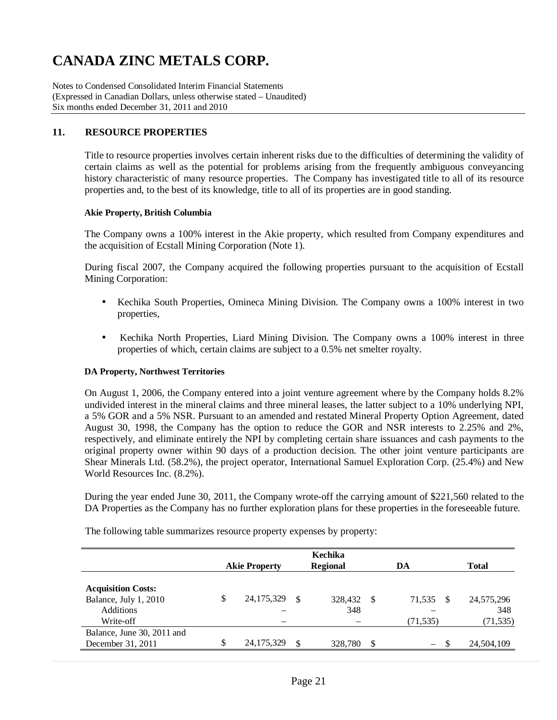Notes to Condensed Consolidated Interim Financial Statements (Expressed in Canadian Dollars, unless otherwise stated – Unaudited) Six months ended December 31, 2011 and 2010

### **11. RESOURCE PROPERTIES**

Title to resource properties involves certain inherent risks due to the difficulties of determining the validity of certain claims as well as the potential for problems arising from the frequently ambiguous conveyancing history characteristic of many resource properties. The Company has investigated title to all of its resource properties and, to the best of its knowledge, title to all of its properties are in good standing.

#### **Akie Property, British Columbia**

The Company owns a 100% interest in the Akie property, which resulted from Company expenditures and the acquisition of Ecstall Mining Corporation (Note 1).

During fiscal 2007, the Company acquired the following properties pursuant to the acquisition of Ecstall Mining Corporation:

- Kechika South Properties, Omineca Mining Division. The Company owns a 100% interest in two properties,
- Kechika North Properties, Liard Mining Division. The Company owns a 100% interest in three properties of which, certain claims are subject to a 0.5% net smelter royalty.

#### **DA Property, Northwest Territories**

On August 1, 2006, the Company entered into a joint venture agreement where by the Company holds 8.2% undivided interest in the mineral claims and three mineral leases, the latter subject to a 10% underlying NPI, a 5% GOR and a 5% NSR. Pursuant to an amended and restated Mineral Property Option Agreement, dated August 30, 1998, the Company has the option to reduce the GOR and NSR interests to 2.25% and 2%, respectively, and eliminate entirely the NPI by completing certain share issuances and cash payments to the original property owner within 90 days of a production decision. The other joint venture participants are Shear Minerals Ltd. (58.2%), the project operator, International Samuel Exploration Corp. (25.4%) and New World Resources Inc. (8.2%).

During the year ended June 30, 2011, the Company wrote-off the carrying amount of \$221,560 related to the DA Properties as the Company has no further exploration plans for these properties in the foreseeable future.

|                                                                              | <b>Akie Property</b> | DA  | Total             |    |                        |    |                                |
|------------------------------------------------------------------------------|----------------------|-----|-------------------|----|------------------------|----|--------------------------------|
| <b>Acquisition Costs:</b><br>Balance, July 1, 2010<br>Additions<br>Write-off | \$<br>24, 175, 329   | £.  | 328,432 \$<br>348 |    | 71,535 \$<br>(71, 535) |    | 24,575,296<br>348<br>(71, 535) |
| Balance, June 30, 2011 and<br>December 31, 2011                              | \$<br>24, 175, 329   | \$. | 328,780           | \$ | $-$                    | -8 | 24,504,109                     |

The following table summarizes resource property expenses by property: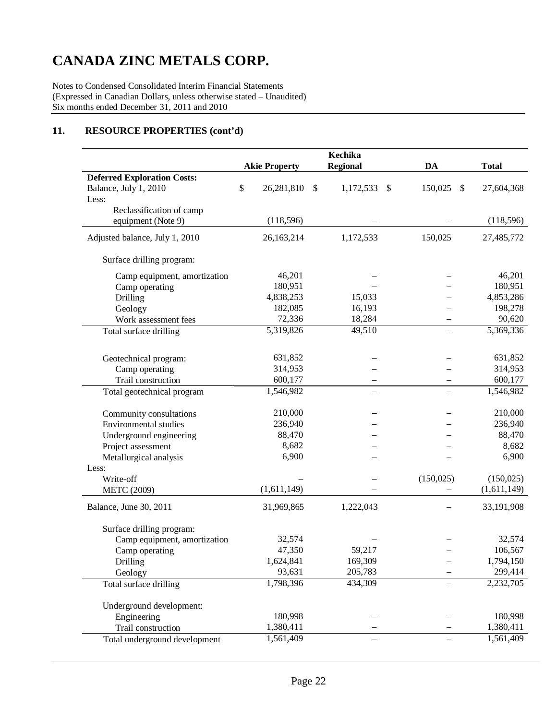Notes to Condensed Consolidated Interim Financial Statements (Expressed in Canadian Dollars, unless otherwise stated – Unaudited) Six months ended December 31, 2011 and 2010

## **11. RESOURCE PROPERTIES (cont'd)**

| Kechika                            |                      |             |               |                 |              |            |              |              |
|------------------------------------|----------------------|-------------|---------------|-----------------|--------------|------------|--------------|--------------|
|                                    | <b>Akie Property</b> |             |               | <b>Regional</b> |              | <b>DA</b>  |              | <b>Total</b> |
| <b>Deferred Exploration Costs:</b> |                      |             |               |                 |              |            |              |              |
| Balance, July 1, 2010              | \$                   | 26,281,810  | <sup>\$</sup> | 1,172,533       | $\mathbb{S}$ | 150,025    | $\mathbb{S}$ | 27,604,368   |
| Less:                              |                      |             |               |                 |              |            |              |              |
| Reclassification of camp           |                      |             |               |                 |              |            |              |              |
| equipment (Note 9)                 |                      | (118, 596)  |               |                 |              |            |              | (118,596)    |
| Adjusted balance, July 1, 2010     |                      | 26,163,214  |               | 1,172,533       |              | 150,025    |              | 27,485,772   |
| Surface drilling program:          |                      |             |               |                 |              |            |              |              |
| Camp equipment, amortization       |                      | 46,201      |               |                 |              |            |              | 46,201       |
| Camp operating                     |                      | 180,951     |               |                 |              |            |              | 180,951      |
| Drilling                           |                      | 4,838,253   |               | 15,033          |              |            |              | 4,853,286    |
| Geology                            |                      | 182,085     |               | 16,193          |              |            |              | 198,278      |
| Work assessment fees               |                      | 72,336      |               | 18,284          |              |            |              | 90,620       |
| Total surface drilling             |                      | 5,319,826   |               | 49,510          |              |            |              | 5,369,336    |
|                                    |                      |             |               |                 |              |            |              |              |
| Geotechnical program:              |                      | 631,852     |               |                 |              |            |              | 631,852      |
| Camp operating                     |                      | 314,953     |               |                 |              |            |              | 314,953      |
| Trail construction                 |                      | 600,177     |               |                 |              |            |              | 600,177      |
| Total geotechnical program         |                      | 1,546,982   |               |                 |              |            |              | 1,546,982    |
|                                    |                      |             |               |                 |              |            |              |              |
| Community consultations            |                      | 210,000     |               |                 |              |            |              | 210,000      |
| <b>Environmental studies</b>       |                      | 236,940     |               |                 |              |            |              | 236,940      |
| Underground engineering            |                      | 88,470      |               |                 |              |            |              | 88,470       |
| Project assessment                 |                      | 8,682       |               |                 |              |            |              | 8,682        |
| Metallurgical analysis             |                      | 6,900       |               |                 |              |            |              | 6,900        |
| Less:                              |                      |             |               |                 |              |            |              |              |
| Write-off                          |                      |             |               |                 |              | (150, 025) |              | (150, 025)   |
| <b>METC</b> (2009)                 |                      | (1,611,149) |               |                 |              |            |              | (1,611,149)  |
| Balance, June 30, 2011             |                      | 31,969,865  |               | 1,222,043       |              |            |              | 33,191,908   |
| Surface drilling program:          |                      |             |               |                 |              |            |              |              |
| Camp equipment, amortization       |                      | 32,574      |               |                 |              |            |              | 32,574       |
| Camp operating                     |                      | 47,350      |               | 59,217          |              |            |              | 106,567      |
| Drilling                           |                      | 1,624,841   |               | 169,309         |              |            |              | 1,794,150    |
| Geology                            |                      | 93,631      |               | 205,783         |              |            |              | 299,414      |
| Total surface drilling             |                      | 1,798,396   |               | 434,309         |              |            |              | 2,232,705    |
|                                    |                      |             |               |                 |              |            |              |              |
| Underground development:           |                      |             |               |                 |              |            |              |              |
| Engineering                        |                      | 180,998     |               |                 |              |            |              | 180,998      |
| Trail construction                 |                      | 1,380,411   |               |                 |              |            |              | 1,380,411    |
| Total underground development      |                      | 1,561,409   |               |                 |              |            |              | 1,561,409    |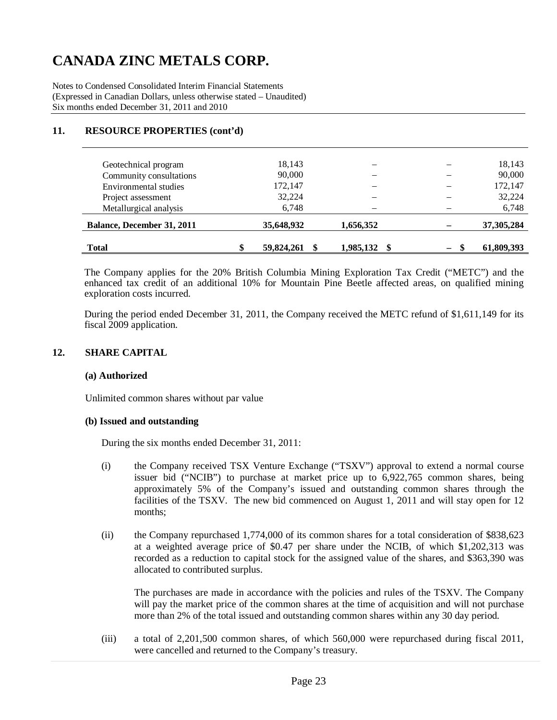Notes to Condensed Consolidated Interim Financial Statements (Expressed in Canadian Dollars, unless otherwise stated – Unaudited) Six months ended December 31, 2011 and 2010

| <b>Total</b>               | \$<br>59,824,261 \$ | 1,985,132 | $-$ | 61,809,393   |
|----------------------------|---------------------|-----------|-----|--------------|
| Balance, December 31, 2011 | 35,648,932          | 1,656,352 |     | 37, 305, 284 |
| Metallurgical analysis     | 6,748               |           |     | 6,748        |
| Project assessment         | 32,224              |           |     | 32,224       |
| Environmental studies      | 172,147             |           |     | 172,147      |
| Community consultations    | 90,000              |           |     | 90,000       |
| Geotechnical program       | 18,143              |           |     | 18,143       |

### **11. RESOURCE PROPERTIES (cont'd)**

The Company applies for the 20% British Columbia Mining Exploration Tax Credit ("METC") and the enhanced tax credit of an additional 10% for Mountain Pine Beetle affected areas, on qualified mining exploration costs incurred.

During the period ended December 31, 2011, the Company received the METC refund of \$1,611,149 for its fiscal 2009 application.

### **12. SHARE CAPITAL**

#### **(a) Authorized**

Unlimited common shares without par value

#### **(b) Issued and outstanding**

During the six months ended December 31, 2011:

- (i) the Company received TSX Venture Exchange ("TSXV") approval to extend a normal course issuer bid ("NCIB") to purchase at market price up to 6,922,765 common shares, being approximately 5% of the Company's issued and outstanding common shares through the facilities of the TSXV. The new bid commenced on August 1, 2011 and will stay open for 12 months;
- (ii) the Company repurchased 1,774,000 of its common shares for a total consideration of \$838,623 at a weighted average price of \$0.47 per share under the NCIB, of which \$1,202,313 was recorded as a reduction to capital stock for the assigned value of the shares, and \$363,390 was allocated to contributed surplus.

The purchases are made in accordance with the policies and rules of the TSXV. The Company will pay the market price of the common shares at the time of acquisition and will not purchase more than 2% of the total issued and outstanding common shares within any 30 day period.

(iii) a total of 2,201,500 common shares, of which 560,000 were repurchased during fiscal 2011, were cancelled and returned to the Company's treasury.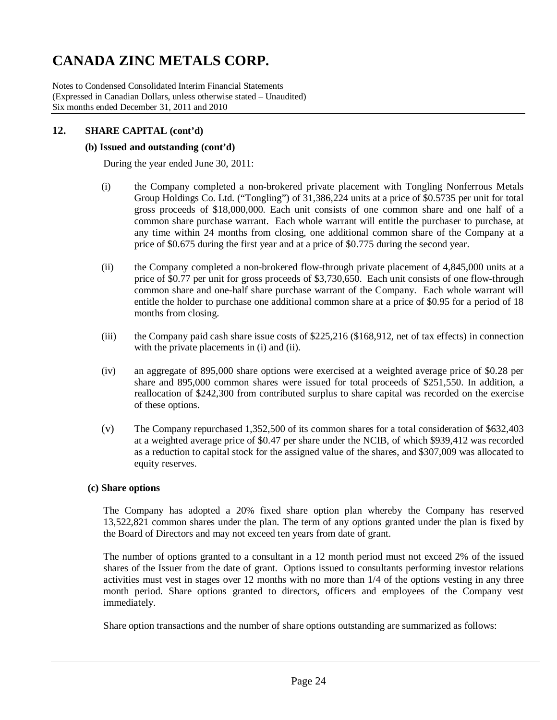Notes to Condensed Consolidated Interim Financial Statements (Expressed in Canadian Dollars, unless otherwise stated – Unaudited) Six months ended December 31, 2011 and 2010

### **12. SHARE CAPITAL (cont'd)**

### **(b) Issued and outstanding (cont'd)**

During the year ended June 30, 2011:

- (i) the Company completed a non-brokered private placement with Tongling Nonferrous Metals Group Holdings Co. Ltd. ("Tongling") of 31,386,224 units at a price of \$0.5735 per unit for total gross proceeds of \$18,000,000. Each unit consists of one common share and one half of a common share purchase warrant. Each whole warrant will entitle the purchaser to purchase, at any time within 24 months from closing, one additional common share of the Company at a price of \$0.675 during the first year and at a price of \$0.775 during the second year.
- (ii) the Company completed a non-brokered flow-through private placement of 4,845,000 units at a price of \$0.77 per unit for gross proceeds of \$3,730,650. Each unit consists of one flow-through common share and one-half share purchase warrant of the Company. Each whole warrant will entitle the holder to purchase one additional common share at a price of \$0.95 for a period of 18 months from closing.
- (iii) the Company paid cash share issue costs of \$225,216 (\$168,912, net of tax effects) in connection with the private placements in (i) and (ii).
- (iv) an aggregate of 895,000 share options were exercised at a weighted average price of \$0.28 per share and 895,000 common shares were issued for total proceeds of \$251,550. In addition, a reallocation of \$242,300 from contributed surplus to share capital was recorded on the exercise of these options.
- (v) The Company repurchased 1,352,500 of its common shares for a total consideration of \$632,403 at a weighted average price of \$0.47 per share under the NCIB, of which \$939,412 was recorded as a reduction to capital stock for the assigned value of the shares, and \$307,009 was allocated to equity reserves.

#### **(c) Share options**

The Company has adopted a 20% fixed share option plan whereby the Company has reserved 13,522,821 common shares under the plan. The term of any options granted under the plan is fixed by the Board of Directors and may not exceed ten years from date of grant.

The number of options granted to a consultant in a 12 month period must not exceed 2% of the issued shares of the Issuer from the date of grant. Options issued to consultants performing investor relations activities must vest in stages over 12 months with no more than 1/4 of the options vesting in any three month period. Share options granted to directors, officers and employees of the Company vest immediately.

Share option transactions and the number of share options outstanding are summarized as follows: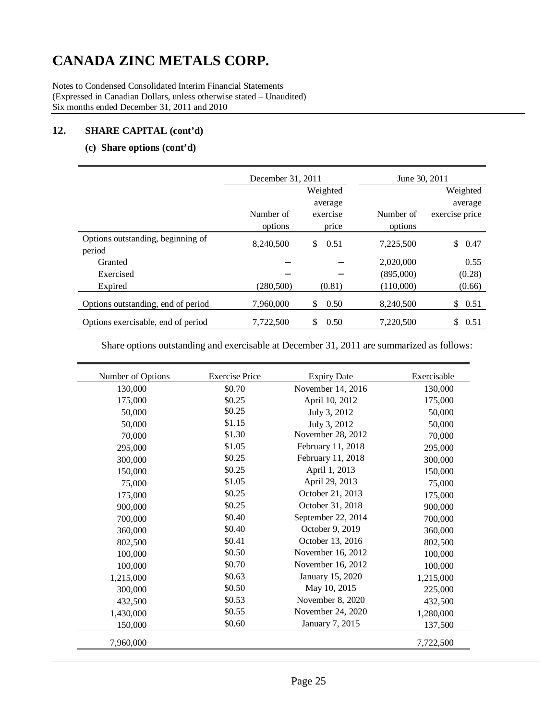Notes to Condensed Consolidated Interim Financial Statements (Expressed in Canadian Dollars, unless otherwise stated – Unaudited) Six months ended December 31, 2011 and 2010

## **12. SHARE CAPITAL (cont'd)**

## **(c) Share options (cont'd)**

|                                    | December 31, 2011 |            | June 30, 2011 |                |
|------------------------------------|-------------------|------------|---------------|----------------|
|                                    |                   | Weighted   |               | Weighted       |
|                                    |                   | average    |               | average        |
|                                    | Number of         | exercise   | Number of     | exercise price |
|                                    | options           | price      | options       |                |
| Options outstanding, beginning of  | 8,240,500         | \$<br>0.51 | 7,225,500     | 0.47<br>S.     |
| period                             |                   |            |               |                |
| Granted                            |                   |            | 2,020,000     | 0.55           |
| Exercised                          |                   |            | (895,000)     | (0.28)         |
| Expired                            | (280, 500)        | (0.81)     | (110,000)     | (0.66)         |
| Options outstanding, end of period | 7,960,000         | \$<br>0.50 | 8,240,500     | \$0.51         |
| Options exercisable, end of period | 7,722,500         | \$<br>0.50 | 7,220,500     | S.<br>0.51     |

Share options outstanding and exercisable at December 31, 2011 are summarized as follows:

| Number of Options | <b>Exercise Price</b> | <b>Expiry Date</b> | Exercisable |
|-------------------|-----------------------|--------------------|-------------|
| 130,000           | \$0.70                | November 14, 2016  | 130,000     |
| 175,000           | \$0.25                | April 10, 2012     | 175,000     |
| 50,000            | \$0.25                | July 3, 2012       | 50,000      |
| 50,000            | \$1.15                | July 3, 2012       | 50,000      |
| 70,000            | \$1.30                | November 28, 2012  | 70,000      |
| 295,000           | \$1.05                | February 11, 2018  | 295,000     |
| 300,000           | \$0.25                | February 11, 2018  | 300,000     |
| 150,000           | \$0.25                | April 1, 2013      | 150,000     |
| 75,000            | \$1.05                | April 29, 2013     | 75,000      |
| 175,000           | \$0.25                | October 21, 2013   | 175,000     |
| 900,000           | \$0.25                | October 31, 2018   | 900,000     |
| 700,000           | \$0.40                | September 22, 2014 | 700,000     |
| 360,000           | \$0.40                | October 9, 2019    | 360,000     |
| 802,500           | \$0.41                | October 13, 2016   | 802,500     |
| 100,000           | \$0.50                | November 16, 2012  | 100,000     |
| 100,000           | \$0.70                | November 16, 2012  | 100,000     |
| 1,215,000         | \$0.63                | January 15, 2020   | 1,215,000   |
| 300,000           | \$0.50                | May 10, 2015       | 225,000     |
| 432,500           | \$0.53                | November 8, 2020   | 432,500     |
| 1,430,000         | \$0.55                | November 24, 2020  | 1,280,000   |
| 150,000           | \$0.60                | January 7, 2015    | 137,500     |
| 7,960,000         |                       |                    | 7,722,500   |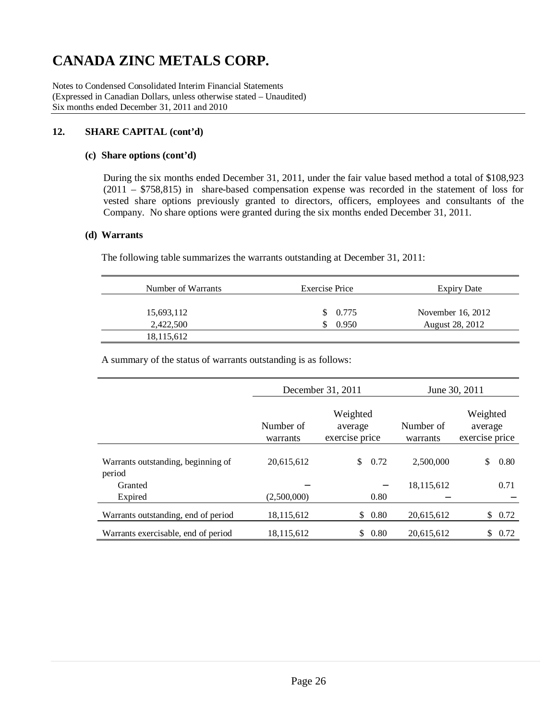Notes to Condensed Consolidated Interim Financial Statements (Expressed in Canadian Dollars, unless otherwise stated – Unaudited) Six months ended December 31, 2011 and 2010

### **12. SHARE CAPITAL (cont'd)**

#### **(c) Share options (cont'd)**

During the six months ended December 31, 2011, under the fair value based method a total of \$108,923 (2011 – \$758,815) in share-based compensation expense was recorded in the statement of loss for vested share options previously granted to directors, officers, employees and consultants of the Company. No share options were granted during the six months ended December 31, 2011.

### **(d) Warrants**

The following table summarizes the warrants outstanding at December 31, 2011:

| Number of Warrants      | Exercise Price   | <b>Expiry Date</b>                   |
|-------------------------|------------------|--------------------------------------|
| 15,693,112<br>2,422,500 | \$0.775<br>0.950 | November 16, 2012<br>August 28, 2012 |
| 18,115,612              |                  |                                      |

A summary of the status of warrants outstanding is as follows:

|                                     |                       | December 31, 2011                     | June 30, 2011         |                                       |  |  |
|-------------------------------------|-----------------------|---------------------------------------|-----------------------|---------------------------------------|--|--|
|                                     | Number of<br>warrants | Weighted<br>average<br>exercise price | Number of<br>warrants | Weighted<br>average<br>exercise price |  |  |
| Warrants outstanding, beginning of  | 20,615,612            | \$<br>0.72                            | 2.500,000             | 0.80<br>\$.                           |  |  |
| period<br>Granted<br>Expired        | (2,500,000)           | 0.80                                  | 18,115,612            | 0.71                                  |  |  |
| Warrants outstanding, end of period | 18,115,612            | 0.80<br>\$.                           | 20,615,612            | \$<br>0.72                            |  |  |
| Warrants exercisable, end of period | 18.115.612            | 0.80<br>\$.                           | 20.615.612            | \$<br>0.72                            |  |  |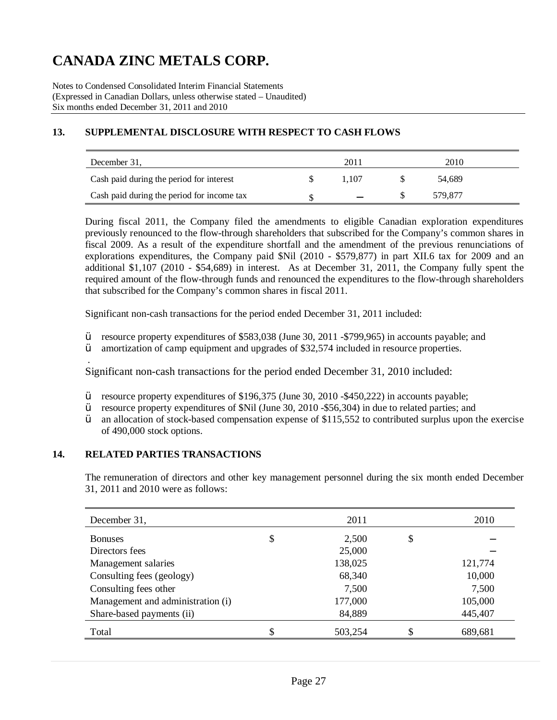Notes to Condensed Consolidated Interim Financial Statements (Expressed in Canadian Dollars, unless otherwise stated – Unaudited) Six months ended December 31, 2011 and 2010

## **13. SUPPLEMENTAL DISCLOSURE WITH RESPECT TO CASH FLOWS**

| December 31,                               | 2011  | 2010    |  |
|--------------------------------------------|-------|---------|--|
| Cash paid during the period for interest   | 1.107 | 54.689  |  |
| Cash paid during the period for income tax |       | 579,877 |  |

During fiscal 2011, the Company filed the amendments to eligible Canadian exploration expenditures previously renounced to the flow-through shareholders that subscribed for the Company's common shares in fiscal 2009. As a result of the expenditure shortfall and the amendment of the previous renunciations of explorations expenditures, the Company paid \$Nil (2010 - \$579,877) in part XII.6 tax for 2009 and an additional \$1,107 (2010 - \$54,689) in interest. As at December 31, 2011, the Company fully spent the required amount of the flow-through funds and renounced the expenditures to the flow-through shareholders that subscribed for the Company's common shares in fiscal 2011.

Significant non-cash transactions for the period ended December 31, 2011 included:

- Ÿ resource property expenditures of \$583,038 (June 30, 2011 -\$799,965) in accounts payable; and
- $\ddot{Y}$  amortization of camp equipment and upgrades of \$32,574 included in resource properties.

Significant non-cash transactions for the period ended December 31, 2010 included:

- Ÿ resource property expenditures of \$196,375 (June 30, 2010 -\$450,222) in accounts payable;
- $\ddot{Y}$  resource property expenditures of \$Nil (June 30, 2010 \$56,304) in due to related parties; and
- $\ddot{V}$  an allocation of stock-based compensation expense of \$115,552 to contributed surplus upon the exercise of 490,000 stock options.

#### **14. RELATED PARTIES TRANSACTIONS**

.

The remuneration of directors and other key management personnel during the six month ended December 31, 2011 and 2010 were as follows:

| December 31,                      | 2011        | 2010    |
|-----------------------------------|-------------|---------|
| <b>Bonuses</b>                    | \$<br>2,500 | \$      |
| Directors fees                    | 25,000      |         |
| Management salaries               | 138,025     | 121,774 |
| Consulting fees (geology)         | 68,340      | 10,000  |
| Consulting fees other             | 7,500       | 7,500   |
| Management and administration (i) | 177,000     | 105,000 |
| Share-based payments (ii)         | 84,889      | 445,407 |
| Total                             | 503,254     | 689,681 |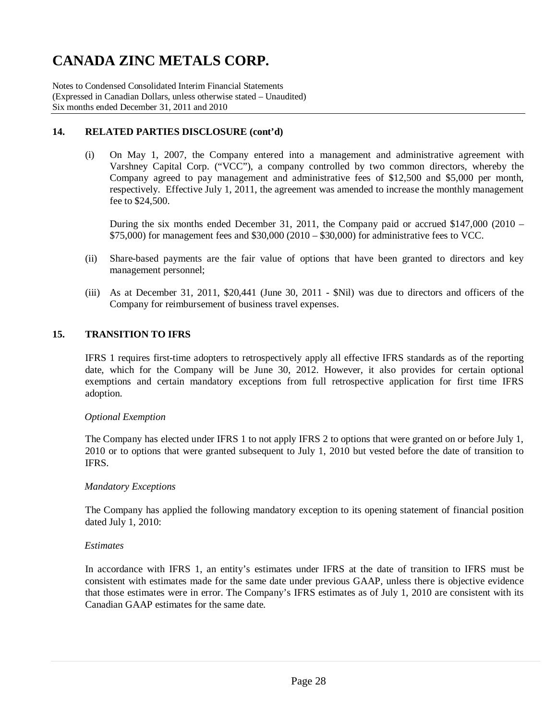Notes to Condensed Consolidated Interim Financial Statements (Expressed in Canadian Dollars, unless otherwise stated – Unaudited) Six months ended December 31, 2011 and 2010

### **14. RELATED PARTIES DISCLOSURE (cont'd)**

(i) On May 1, 2007, the Company entered into a management and administrative agreement with Varshney Capital Corp. ("VCC"), a company controlled by two common directors, whereby the Company agreed to pay management and administrative fees of \$12,500 and \$5,000 per month, respectively. Effective July 1, 2011, the agreement was amended to increase the monthly management fee to \$24,500.

During the six months ended December 31, 2011, the Company paid or accrued \$147,000 (2010 – \$75,000) for management fees and \$30,000 (2010 – \$30,000) for administrative fees to VCC.

- (ii) Share-based payments are the fair value of options that have been granted to directors and key management personnel;
- (iii) As at December 31, 2011, \$20,441 (June 30, 2011 \$Nil) was due to directors and officers of the Company for reimbursement of business travel expenses.

### **15. TRANSITION TO IFRS**

IFRS 1 requires first-time adopters to retrospectively apply all effective IFRS standards as of the reporting date, which for the Company will be June 30, 2012. However, it also provides for certain optional exemptions and certain mandatory exceptions from full retrospective application for first time IFRS adoption.

#### *Optional Exemption*

The Company has elected under IFRS 1 to not apply IFRS 2 to options that were granted on or before July 1, 2010 or to options that were granted subsequent to July 1, 2010 but vested before the date of transition to IFRS.

#### *Mandatory Exceptions*

The Company has applied the following mandatory exception to its opening statement of financial position dated July 1, 2010:

#### *Estimates*

In accordance with IFRS 1, an entity's estimates under IFRS at the date of transition to IFRS must be consistent with estimates made for the same date under previous GAAP, unless there is objective evidence that those estimates were in error. The Company's IFRS estimates as of July 1, 2010 are consistent with its Canadian GAAP estimates for the same date.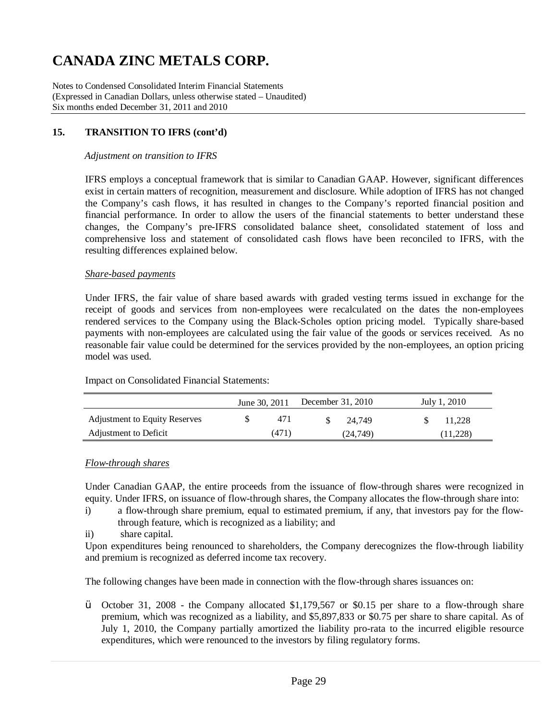Notes to Condensed Consolidated Interim Financial Statements (Expressed in Canadian Dollars, unless otherwise stated – Unaudited) Six months ended December 31, 2011 and 2010

## **15. TRANSITION TO IFRS (cont'd)**

#### *Adjustment on transition to IFRS*

IFRS employs a conceptual framework that is similar to Canadian GAAP. However, significant differences exist in certain matters of recognition, measurement and disclosure. While adoption of IFRS has not changed the Company's cash flows, it has resulted in changes to the Company's reported financial position and financial performance. In order to allow the users of the financial statements to better understand these changes, the Company's pre-IFRS consolidated balance sheet, consolidated statement of loss and comprehensive loss and statement of consolidated cash flows have been reconciled to IFRS, with the resulting differences explained below.

#### *Share-based payments*

Under IFRS, the fair value of share based awards with graded vesting terms issued in exchange for the receipt of goods and services from non-employees were recalculated on the dates the non-employees rendered services to the Company using the Black-Scholes option pricing model. Typically share-based payments with non-employees are calculated using the fair value of the goods or services received. As no reasonable fair value could be determined for the services provided by the non-employees, an option pricing model was used.

Impact on Consolidated Financial Statements:

|                               |       | June 30, 2011 December 31, 2010 |          | July 1, 2010 |
|-------------------------------|-------|---------------------------------|----------|--------------|
| Adjustment to Equity Reserves | 471   |                                 | 24.749   | 11.228       |
| Adjustment to Deficit         | (471) |                                 | (24,749) | (11.228)     |

#### *Flow-through shares*

Under Canadian GAAP, the entire proceeds from the issuance of flow-through shares were recognized in equity. Under IFRS, on issuance of flow-through shares, the Company allocates the flow-through share into:

i) a flow-through share premium, equal to estimated premium, if any, that investors pay for the flowthrough feature, which is recognized as a liability; and

ii) share capital.

Upon expenditures being renounced to shareholders, the Company derecognizes the flow-through liability and premium is recognized as deferred income tax recovery.

The following changes have been made in connection with the flow-through shares issuances on:

 $\ddot{Y}$  October 31, 2008 - the Company allocated \$1,179,567 or \$0.15 per share to a flow-through share premium, which was recognized as a liability, and \$5,897,833 or \$0.75 per share to share capital. As of July 1, 2010, the Company partially amortized the liability pro-rata to the incurred eligible resource expenditures, which were renounced to the investors by filing regulatory forms.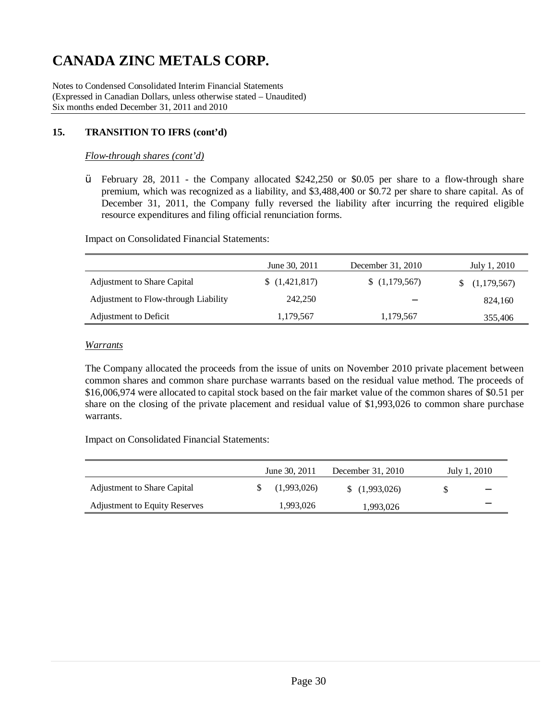Notes to Condensed Consolidated Interim Financial Statements (Expressed in Canadian Dollars, unless otherwise stated – Unaudited) Six months ended December 31, 2011 and 2010

## **15. TRANSITION TO IFRS (cont'd)**

### *Flow-through shares (cont'd)*

Ÿ February 28, 2011 - the Company allocated \$242,250 or \$0.05 per share to a flow-through share premium, which was recognized as a liability, and \$3,488,400 or \$0.72 per share to share capital. As of December 31, 2011, the Company fully reversed the liability after incurring the required eligible resource expenditures and filing official renunciation forms.

Impact on Consolidated Financial Statements:

|                                      | June 30, 2011 | December 31, 2010 | July 1, 2010 |
|--------------------------------------|---------------|-------------------|--------------|
| <b>Adjustment to Share Capital</b>   | (1,421,817)   | (1,179,567)       | (1,179,567)  |
| Adjustment to Flow-through Liability | 242,250       | -                 | 824,160      |
| Adjustment to Deficit                | 1,179,567     | 1,179,567         | 355,406      |

#### *Warrants*

The Company allocated the proceeds from the issue of units on November 2010 private placement between common shares and common share purchase warrants based on the residual value method. The proceeds of \$16,006,974 were allocated to capital stock based on the fair market value of the common shares of \$0.51 per share on the closing of the private placement and residual value of \$1,993,026 to common share purchase warrants.

Impact on Consolidated Financial Statements:

|                                      | June 30, 2011 | December 31, 2010 |     | July 1, 2010 |
|--------------------------------------|---------------|-------------------|-----|--------------|
| Adjustment to Share Capital          | (1,993,026)   | (1,993,026)       | \$. |              |
| <b>Adjustment to Equity Reserves</b> | 1,993,026     | 1,993,026         |     |              |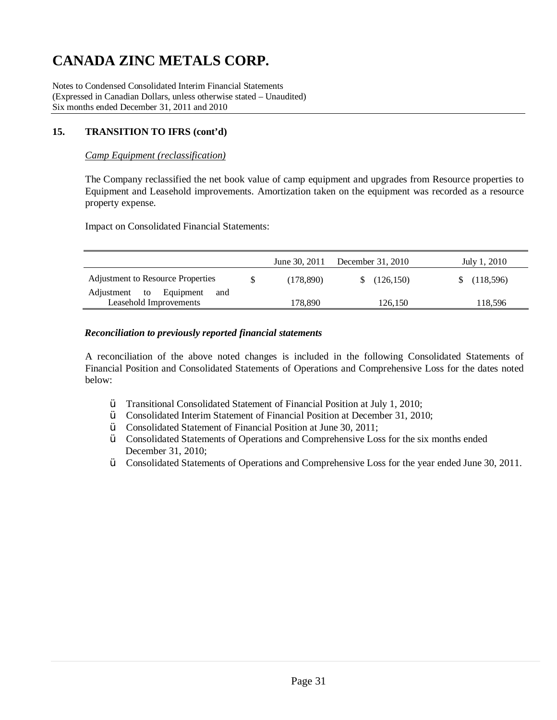Notes to Condensed Consolidated Interim Financial Statements (Expressed in Canadian Dollars, unless otherwise stated – Unaudited) Six months ended December 31, 2011 and 2010

### **15. TRANSITION TO IFRS (cont'd)**

#### *Camp Equipment (reclassification)*

The Company reclassified the net book value of camp equipment and upgrades from Resource properties to Equipment and Leasehold improvements. Amortization taken on the equipment was recorded as a resource property expense.

Impact on Consolidated Financial Statements:

|                                   |           | June 30, 2011 December 31, 2010 | July 1, 2010 |
|-----------------------------------|-----------|---------------------------------|--------------|
| Adjustment to Resource Properties | (178.890) | (126, 150)                      | \$(118,596)  |
| Equipment<br>Adjustment to<br>and |           |                                 |              |
| Leasehold Improvements            | 178.890   | 126.150                         | 118.596      |

#### *Reconciliation to previously reported financial statements*

A reconciliation of the above noted changes is included in the following Consolidated Statements of Financial Position and Consolidated Statements of Operations and Comprehensive Loss for the dates noted below:

- Ÿ Transitional Consolidated Statement of Financial Position at July 1, 2010;
- Ÿ Consolidated Interim Statement of Financial Position at December 31, 2010;
- Ÿ Consolidated Statement of Financial Position at June 30, 2011;
- Ÿ Consolidated Statements of Operations and Comprehensive Loss for the six months ended December 31, 2010;
- Ÿ Consolidated Statements of Operations and Comprehensive Loss for the year ended June 30, 2011.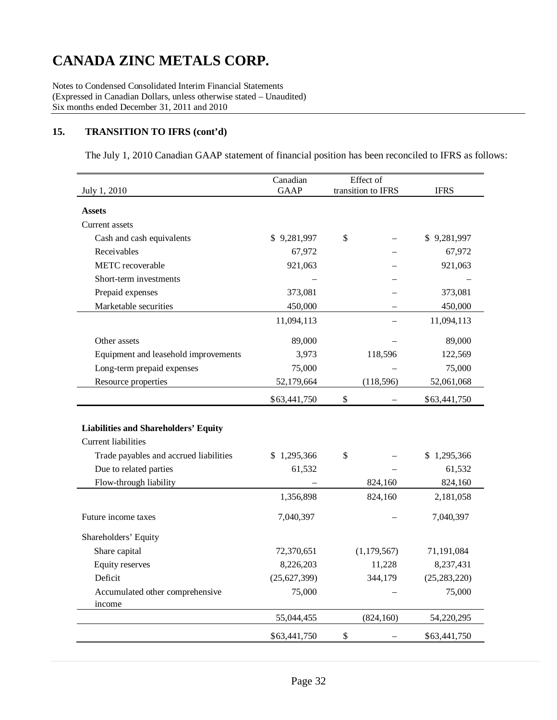Notes to Condensed Consolidated Interim Financial Statements (Expressed in Canadian Dollars, unless otherwise stated – Unaudited) Six months ended December 31, 2011 and 2010

## **15. TRANSITION TO IFRS (cont'd)**

The July 1, 2010 Canadian GAAP statement of financial position has been reconciled to IFRS as follows:

|                                             | Canadian       | Effect of          |                |  |  |
|---------------------------------------------|----------------|--------------------|----------------|--|--|
| July 1, 2010                                | <b>GAAP</b>    | transition to IFRS | <b>IFRS</b>    |  |  |
| <b>Assets</b>                               |                |                    |                |  |  |
| Current assets                              |                |                    |                |  |  |
| Cash and cash equivalents                   | \$9,281,997    | \$                 | \$9,281,997    |  |  |
| Receivables                                 | 67,972         |                    | 67,972         |  |  |
| METC recoverable                            | 921,063        |                    | 921,063        |  |  |
| Short-term investments                      |                |                    |                |  |  |
| Prepaid expenses                            | 373,081        |                    | 373,081        |  |  |
| Marketable securities                       | 450,000        |                    | 450,000        |  |  |
|                                             | 11,094,113     |                    | 11,094,113     |  |  |
| Other assets                                | 89,000         |                    | 89,000         |  |  |
| Equipment and leasehold improvements        | 3,973          | 118,596            | 122,569        |  |  |
| Long-term prepaid expenses                  | 75,000         |                    | 75,000         |  |  |
| Resource properties                         | 52,179,664     | (118, 596)         | 52,061,068     |  |  |
|                                             | \$63,441,750   | \$                 | \$63,441,750   |  |  |
|                                             |                |                    |                |  |  |
| <b>Liabilities and Shareholders' Equity</b> |                |                    |                |  |  |
| <b>Current liabilities</b>                  |                |                    |                |  |  |
| Trade payables and accrued liabilities      | \$1,295,366    | \$                 | \$1,295,366    |  |  |
| Due to related parties                      | 61,532         |                    | 61,532         |  |  |
| Flow-through liability                      |                | 824,160            | 824,160        |  |  |
|                                             | 1,356,898      | 824,160            | 2,181,058      |  |  |
| Future income taxes                         | 7,040,397      |                    | 7,040,397      |  |  |
| Shareholders' Equity                        |                |                    |                |  |  |
| Share capital                               | 72,370,651     | (1, 179, 567)      | 71,191,084     |  |  |
| <b>Equity reserves</b>                      | 8,226,203      | 11,228             | 8,237,431      |  |  |
| Deficit                                     | (25, 627, 399) | 344,179            | (25, 283, 220) |  |  |
| Accumulated other comprehensive             | 75,000         |                    | 75,000         |  |  |
| income                                      |                |                    |                |  |  |
|                                             | 55,044,455     | (824, 160)         | 54,220,295     |  |  |
|                                             | \$63,441,750   | \$                 | \$63,441,750   |  |  |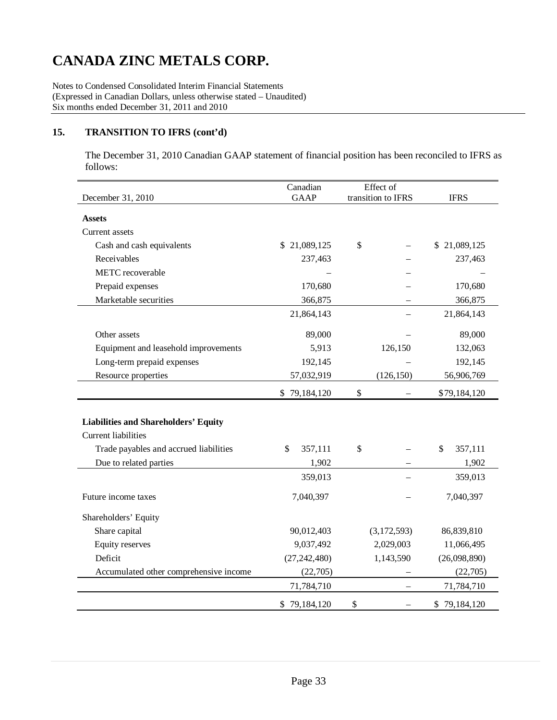Notes to Condensed Consolidated Interim Financial Statements (Expressed in Canadian Dollars, unless otherwise stated – Unaudited) Six months ended December 31, 2011 and 2010

## **15. TRANSITION TO IFRS (cont'd)**

The December 31, 2010 Canadian GAAP statement of financial position has been reconciled to IFRS as follows:

|                                             | Canadian<br>Effect of |                    |               |  |
|---------------------------------------------|-----------------------|--------------------|---------------|--|
| December 31, 2010                           | <b>GAAP</b>           | transition to IFRS | <b>IFRS</b>   |  |
| <b>Assets</b>                               |                       |                    |               |  |
| Current assets                              |                       |                    |               |  |
| Cash and cash equivalents                   | \$21,089,125          | \$                 | \$21,089,125  |  |
| Receivables                                 | 237,463               |                    | 237,463       |  |
| <b>METC</b> recoverable                     |                       |                    |               |  |
| Prepaid expenses                            | 170,680               |                    | 170,680       |  |
| Marketable securities                       | 366,875               |                    | 366,875       |  |
|                                             | 21,864,143            |                    | 21,864,143    |  |
| Other assets                                | 89,000                |                    | 89,000        |  |
| Equipment and leasehold improvements        | 5,913                 | 126,150            | 132,063       |  |
| Long-term prepaid expenses                  | 192,145               |                    | 192,145       |  |
| Resource properties                         | 57,032,919            | (126, 150)         | 56,906,769    |  |
|                                             | \$79,184,120          | \$                 | \$79,184,120  |  |
|                                             |                       |                    |               |  |
| <b>Liabilities and Shareholders' Equity</b> |                       |                    |               |  |
| <b>Current liabilities</b>                  |                       |                    |               |  |
| Trade payables and accrued liabilities      | \$<br>357,111         | \$                 | \$<br>357,111 |  |
| Due to related parties                      | 1,902                 |                    | 1,902         |  |
|                                             | 359,013               |                    | 359,013       |  |
| Future income taxes                         | 7,040,397             |                    | 7,040,397     |  |
| Shareholders' Equity                        |                       |                    |               |  |
| Share capital                               | 90,012,403            | (3,172,593)        | 86,839,810    |  |
| <b>Equity reserves</b>                      | 9,037,492             | 2,029,003          | 11,066,495    |  |
| Deficit                                     | (27, 242, 480)        | 1,143,590          | (26,098,890)  |  |
| Accumulated other comprehensive income      | (22,705)              |                    | (22,705)      |  |
|                                             | 71,784,710            |                    | 71,784,710    |  |
|                                             | 79,184,120<br>\$      | \$                 | \$79,184,120  |  |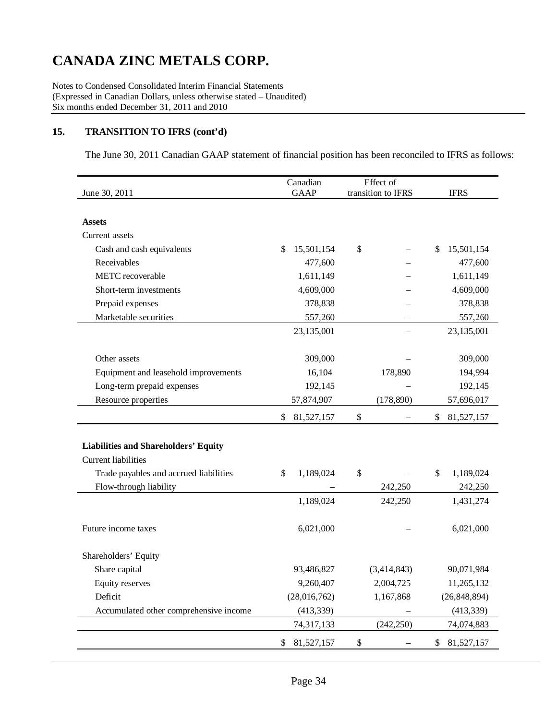Notes to Condensed Consolidated Interim Financial Statements (Expressed in Canadian Dollars, unless otherwise stated – Unaudited) Six months ended December 31, 2011 and 2010

## **15. TRANSITION TO IFRS (cont'd)**

The June 30, 2011 Canadian GAAP statement of financial position has been reconciled to IFRS as follows:

|                                             | Canadian          | Effect of          |                  |  |
|---------------------------------------------|-------------------|--------------------|------------------|--|
| June 30, 2011                               | <b>GAAP</b>       | transition to IFRS | <b>IFRS</b>      |  |
|                                             |                   |                    |                  |  |
| <b>Assets</b>                               |                   |                    |                  |  |
| <b>Current assets</b>                       |                   |                    |                  |  |
| Cash and cash equivalents                   | 15,501,154<br>\$. | \$                 | 15,501,154<br>\$ |  |
| Receivables                                 | 477,600           |                    | 477,600          |  |
| METC recoverable                            | 1,611,149         |                    | 1,611,149        |  |
| Short-term investments                      | 4,609,000         |                    | 4,609,000        |  |
| Prepaid expenses                            | 378,838           |                    | 378,838          |  |
| Marketable securities                       | 557,260           |                    | 557,260          |  |
|                                             | 23,135,001        |                    | 23,135,001       |  |
|                                             |                   |                    |                  |  |
| Other assets                                | 309,000           |                    | 309,000          |  |
| Equipment and leasehold improvements        | 16,104            | 178,890            | 194,994          |  |
| Long-term prepaid expenses                  | 192,145           |                    | 192,145          |  |
| Resource properties                         | 57,874,907        | (178, 890)         | 57,696,017       |  |
|                                             | \$<br>81,527,157  | \$                 | \$<br>81,527,157 |  |
|                                             |                   |                    |                  |  |
| <b>Liabilities and Shareholders' Equity</b> |                   |                    |                  |  |
| <b>Current liabilities</b>                  |                   |                    |                  |  |
| Trade payables and accrued liabilities      | \$<br>1,189,024   | \$                 | \$<br>1,189,024  |  |
| Flow-through liability                      |                   | 242,250            | 242,250          |  |
|                                             | 1,189,024         | 242,250            | 1,431,274        |  |
|                                             |                   |                    |                  |  |
| Future income taxes                         | 6,021,000         |                    | 6,021,000        |  |
|                                             |                   |                    |                  |  |
| Shareholders' Equity                        |                   |                    |                  |  |
| Share capital                               | 93,486,827        | (3,414,843)        | 90,071,984       |  |
| <b>Equity reserves</b>                      | 9,260,407         | 2,004,725          | 11,265,132       |  |
| Deficit                                     | (28,016,762)      | 1,167,868          | (26, 848, 894)   |  |
| Accumulated other comprehensive income      | (413, 339)        |                    | (413, 339)       |  |
|                                             | 74,317,133        | (242, 250)         | 74,074,883       |  |
|                                             | \$<br>81,527,157  | \$                 | \$<br>81,527,157 |  |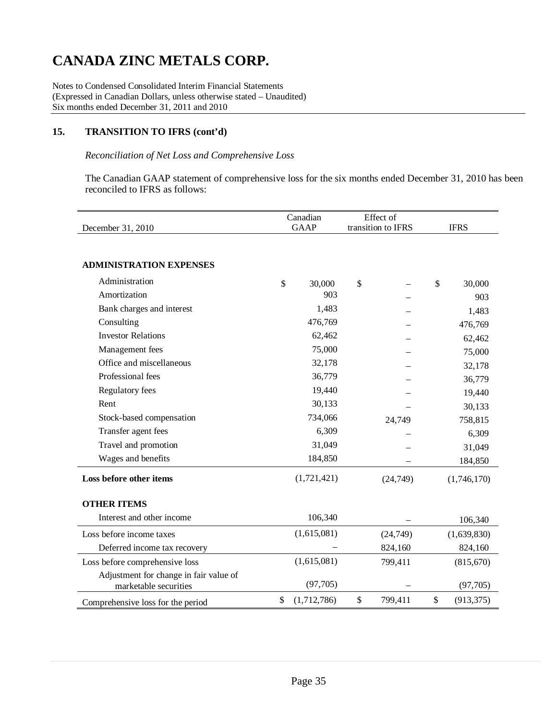Notes to Condensed Consolidated Interim Financial Statements (Expressed in Canadian Dollars, unless otherwise stated – Unaudited) Six months ended December 31, 2011 and 2010

## **15. TRANSITION TO IFRS (cont'd)**

### *Reconciliation of Net Loss and Comprehensive Loss*

The Canadian GAAP statement of comprehensive loss for the six months ended December 31, 2010 has been reconciled to IFRS as follows:

|                                        | Canadian    |             | Effect of          |           |             |             |
|----------------------------------------|-------------|-------------|--------------------|-----------|-------------|-------------|
| December 31, 2010                      | <b>GAAP</b> |             | transition to IFRS |           | <b>IFRS</b> |             |
|                                        |             |             |                    |           |             |             |
| <b>ADMINISTRATION EXPENSES</b>         |             |             |                    |           |             |             |
| Administration                         | \$          | 30,000      | \$                 |           | \$          | 30,000      |
| Amortization                           |             | 903         |                    |           |             | 903         |
| Bank charges and interest              |             | 1,483       |                    |           |             | 1,483       |
| Consulting                             |             | 476,769     |                    |           |             | 476,769     |
| <b>Investor Relations</b>              |             | 62,462      |                    |           |             | 62,462      |
| Management fees                        |             | 75,000      |                    |           |             | 75,000      |
| Office and miscellaneous               |             | 32,178      |                    |           |             | 32,178      |
| Professional fees                      |             | 36,779      |                    |           |             | 36,779      |
| <b>Regulatory fees</b>                 |             | 19,440      |                    |           |             | 19,440      |
| Rent                                   |             | 30,133      |                    |           |             | 30,133      |
| Stock-based compensation               |             | 734,066     |                    | 24,749    |             | 758,815     |
| Transfer agent fees                    |             | 6,309       |                    |           |             | 6,309       |
| Travel and promotion                   |             | 31,049      |                    |           |             | 31,049      |
| Wages and benefits                     |             | 184,850     |                    |           |             | 184,850     |
| Loss before other items                |             | (1,721,421) |                    | (24, 749) |             | (1,746,170) |
| <b>OTHER ITEMS</b>                     |             |             |                    |           |             |             |
| Interest and other income              |             | 106,340     |                    |           |             | 106,340     |
| Loss before income taxes               |             | (1,615,081) |                    | (24, 749) |             | (1,639,830) |
| Deferred income tax recovery           |             |             |                    | 824,160   |             | 824,160     |
| Loss before comprehensive loss         |             | (1,615,081) |                    | 799,411   |             | (815, 670)  |
| Adjustment for change in fair value of |             |             |                    |           |             |             |
| marketable securities                  |             | (97,705)    |                    |           |             | (97,705)    |
| Comprehensive loss for the period      | \$          | (1,712,786) | \$                 | 799,411   | \$          | (913, 375)  |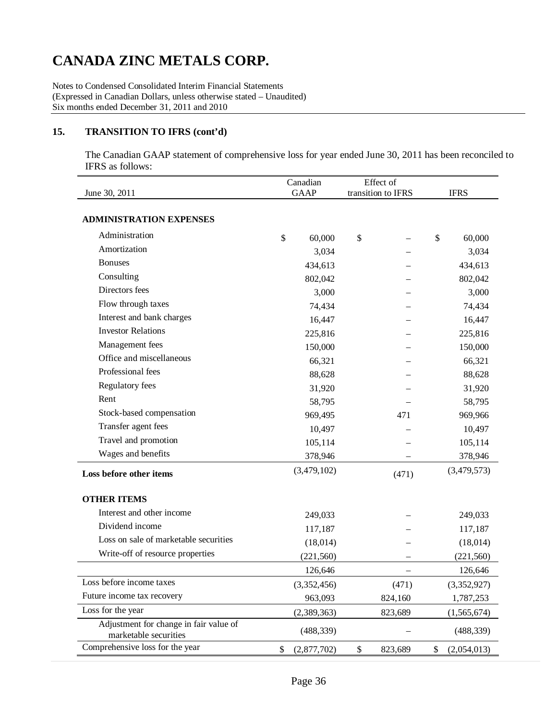Notes to Condensed Consolidated Interim Financial Statements (Expressed in Canadian Dollars, unless otherwise stated – Unaudited) Six months ended December 31, 2011 and 2010

## **15. TRANSITION TO IFRS (cont'd)**

The Canadian GAAP statement of comprehensive loss for year ended June 30, 2011 has been reconciled to IFRS as follows:

|                                                                 | Canadian    |             | Effect of          |         |             |               |
|-----------------------------------------------------------------|-------------|-------------|--------------------|---------|-------------|---------------|
| June 30, 2011                                                   | <b>GAAP</b> |             | transition to IFRS |         | <b>IFRS</b> |               |
| <b>ADMINISTRATION EXPENSES</b>                                  |             |             |                    |         |             |               |
| Administration                                                  | \$          | 60,000      | \$                 |         | \$          | 60,000        |
| Amortization                                                    |             | 3,034       |                    |         |             | 3,034         |
| <b>Bonuses</b>                                                  |             | 434,613     |                    |         |             | 434,613       |
| Consulting                                                      |             | 802,042     |                    |         |             | 802,042       |
| Directors fees                                                  |             | 3,000       |                    |         |             | 3,000         |
| Flow through taxes                                              |             | 74,434      |                    |         |             | 74,434        |
| Interest and bank charges                                       |             | 16,447      |                    |         |             | 16,447        |
| <b>Investor Relations</b>                                       |             | 225,816     |                    |         |             | 225,816       |
| Management fees                                                 |             | 150,000     |                    |         |             | 150,000       |
| Office and miscellaneous                                        |             | 66,321      |                    |         |             | 66,321        |
| Professional fees                                               |             | 88,628      |                    |         |             | 88,628        |
| Regulatory fees                                                 |             | 31,920      |                    |         |             | 31,920        |
| Rent                                                            |             | 58,795      |                    |         |             | 58,795        |
| Stock-based compensation                                        |             | 969,495     |                    | 471     |             | 969,966       |
| Transfer agent fees                                             |             | 10,497      |                    |         |             | 10,497        |
| Travel and promotion                                            |             | 105,114     |                    |         |             | 105,114       |
| Wages and benefits                                              |             | 378,946     |                    |         |             | 378,946       |
| Loss before other items                                         |             | (3,479,102) |                    | (471)   |             | (3,479,573)   |
| <b>OTHER ITEMS</b>                                              |             |             |                    |         |             |               |
| Interest and other income                                       |             | 249,033     |                    |         |             | 249,033       |
| Dividend income                                                 |             | 117,187     |                    |         |             | 117,187       |
| Loss on sale of marketable securities                           |             | (18, 014)   |                    |         |             | (18, 014)     |
| Write-off of resource properties                                |             | (221, 560)  |                    |         |             | (221, 560)    |
|                                                                 |             | 126,646     |                    |         |             | 126,646       |
| Loss before income taxes                                        |             | (3,352,456) |                    | (471)   |             | (3,352,927)   |
| Future income tax recovery                                      |             | 963,093     |                    | 824,160 |             | 1,787,253     |
| Loss for the year                                               |             | (2,389,363) |                    | 823,689 |             | (1, 565, 674) |
| Adjustment for change in fair value of<br>marketable securities |             | (488, 339)  |                    |         |             | (488, 339)    |
| Comprehensive loss for the year                                 | \$          | (2,877,702) | \$                 | 823,689 | \$          | (2,054,013)   |